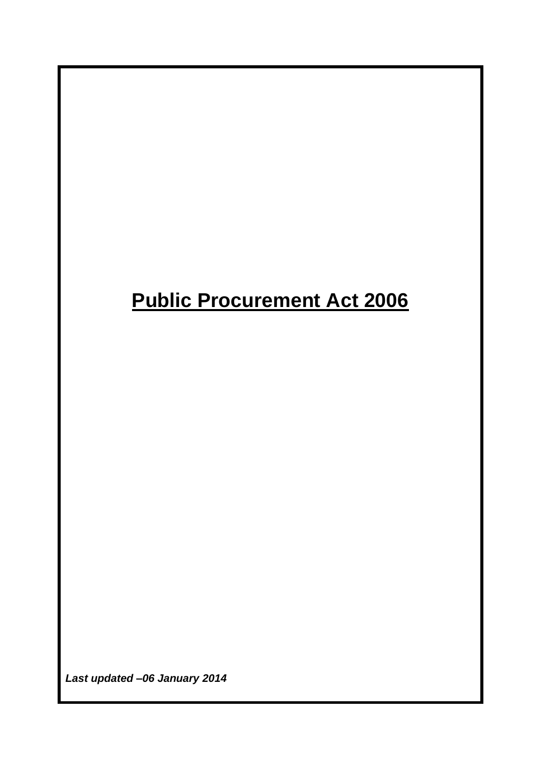# **Public Procurement Act 2006**

*Last updated –06 January 2014*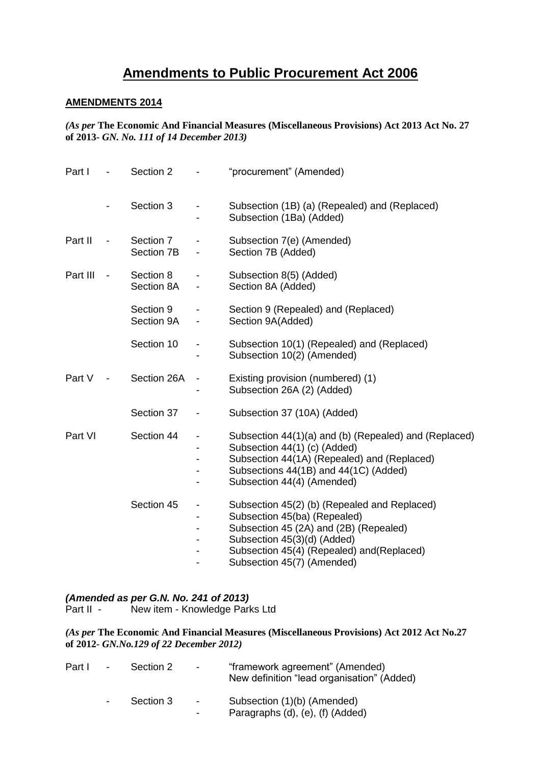# **Amendments to Public Procurement Act 2006**

## **AMENDMENTS 2014**

*(As per* **The Economic And Financial Measures (Miscellaneous Provisions) Act 2013 Act No. 27 of 2013-** *GN. No. 111 of 14 December 2013)*

| Part I   |                          | Section 2               |                          | "procurement" (Amended)                                                                                                                                                                                                           |
|----------|--------------------------|-------------------------|--------------------------|-----------------------------------------------------------------------------------------------------------------------------------------------------------------------------------------------------------------------------------|
|          |                          | Section 3               |                          | Subsection (1B) (a) (Repealed) and (Replaced)<br>Subsection (1Ba) (Added)                                                                                                                                                         |
| Part II  |                          | Section 7<br>Section 7B |                          | Subsection 7(e) (Amended)<br>Section 7B (Added)                                                                                                                                                                                   |
| Part III | $\overline{\phantom{a}}$ | Section 8<br>Section 8A | $\overline{\phantom{a}}$ | Subsection 8(5) (Added)<br>Section 8A (Added)                                                                                                                                                                                     |
|          |                          | Section 9<br>Section 9A |                          | Section 9 (Repealed) and (Replaced)<br>Section 9A(Added)                                                                                                                                                                          |
|          |                          | Section 10              |                          | Subsection 10(1) (Repealed) and (Replaced)<br>Subsection 10(2) (Amended)                                                                                                                                                          |
| Part V   | $\overline{\phantom{a}}$ | Section 26A             | $\overline{\phantom{0}}$ | Existing provision (numbered) (1)<br>Subsection 26A (2) (Added)                                                                                                                                                                   |
|          |                          | Section 37              |                          | Subsection 37 (10A) (Added)                                                                                                                                                                                                       |
| Part VI  |                          | Section 44              | $\overline{\phantom{0}}$ | Subsection 44(1)(a) and (b) (Repealed) and (Replaced)<br>Subsection 44(1) (c) (Added)<br>Subsection 44(1A) (Repealed) and (Replaced)<br>Subsections 44(1B) and 44(1C) (Added)<br>Subsection 44(4) (Amended)                       |
|          |                          | Section 45              | $\overline{\phantom{0}}$ | Subsection 45(2) (b) (Repealed and Replaced)<br>Subsection 45(ba) (Repealed)<br>Subsection 45 (2A) and (2B) (Repealed)<br>Subsection 45(3)(d) (Added)<br>Subsection 45(4) (Repealed) and (Replaced)<br>Subsection 45(7) (Amended) |

#### *(Amended as per G.N. No. 241 of 2013)*

Part II - New item - Knowledge Parks Ltd

*(As per* **The Economic And Financial Measures (Miscellaneous Provisions) Act 2012 Act No.27 of 2012-** *GN.No.129 of 22 December 2012)*

| Part I - |                 | Section 2 | $\sim$                                 | "framework agreement" (Amended)<br>New definition "lead organisation" (Added) |
|----------|-----------------|-----------|----------------------------------------|-------------------------------------------------------------------------------|
|          | $\sim$ 10 $\pm$ | Section 3 | $\sim$ $-$<br>$\overline{\phantom{0}}$ | Subsection (1)(b) (Amended)<br>Paragraphs (d), (e), (f) (Added)               |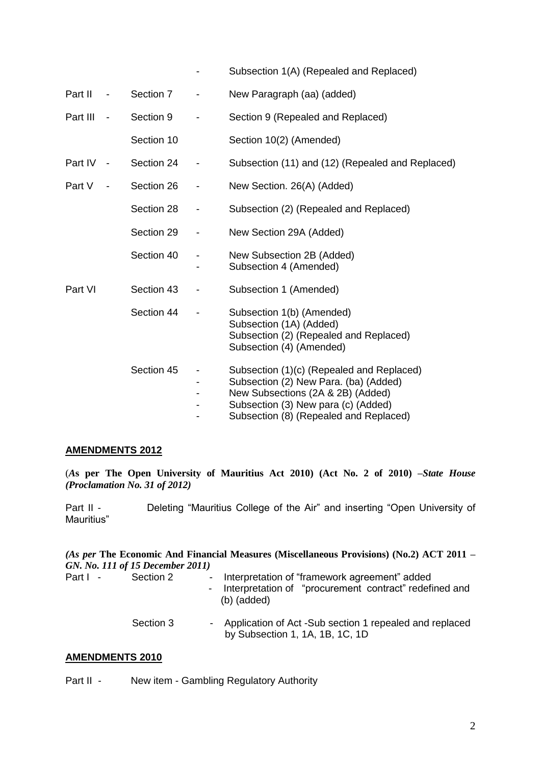|          |                          |            |                              | Subsection 1(A) (Repealed and Replaced)                                                                                                                                                                  |
|----------|--------------------------|------------|------------------------------|----------------------------------------------------------------------------------------------------------------------------------------------------------------------------------------------------------|
| Part II  | $\overline{\phantom{a}}$ | Section 7  |                              | New Paragraph (aa) (added)                                                                                                                                                                               |
| Part III | $\overline{\phantom{a}}$ | Section 9  |                              | Section 9 (Repealed and Replaced)                                                                                                                                                                        |
|          |                          | Section 10 |                              | Section 10(2) (Amended)                                                                                                                                                                                  |
| Part IV  | $\sim$ $-$               | Section 24 | $\qquad \qquad \blacksquare$ | Subsection (11) and (12) (Repealed and Replaced)                                                                                                                                                         |
| Part V   |                          | Section 26 | $\overline{\phantom{a}}$     | New Section. 26(A) (Added)                                                                                                                                                                               |
|          |                          | Section 28 |                              | Subsection (2) (Repealed and Replaced)                                                                                                                                                                   |
|          |                          | Section 29 | $\overline{\phantom{a}}$     | New Section 29A (Added)                                                                                                                                                                                  |
|          |                          | Section 40 |                              | New Subsection 2B (Added)<br>Subsection 4 (Amended)                                                                                                                                                      |
| Part VI  |                          | Section 43 | $\qquad \qquad \blacksquare$ | Subsection 1 (Amended)                                                                                                                                                                                   |
|          |                          | Section 44 |                              | Subsection 1(b) (Amended)<br>Subsection (1A) (Added)<br>Subsection (2) (Repealed and Replaced)<br>Subsection (4) (Amended)                                                                               |
|          |                          | Section 45 |                              | Subsection (1)(c) (Repealed and Replaced)<br>Subsection (2) New Para. (ba) (Added)<br>New Subsections (2A & 2B) (Added)<br>Subsection (3) New para (c) (Added)<br>Subsection (8) (Repealed and Replaced) |

## **AMENDMENTS 2012**

(*A***s per The Open University of Mauritius Act 2010) (Act No. 2 of 2010)** *–State House (Proclamation No. 31 of 2012)*

Part II - Deleting "Mauritius College of the Air" and inserting "Open University of Mauritius"

*(As per* **The Economic And Financial Measures (Miscellaneous Provisions) (No.2) ACT 2011** *– GN. No. 111 of 15 December 2011)*

| Part I - | Section 2 | - Interpretation of "framework agreement" added<br>- Interpretation of "procurement contract" redefined and<br>$(b)$ (added) |
|----------|-----------|------------------------------------------------------------------------------------------------------------------------------|
|          | Section 3 | - Application of Act -Sub section 1 repealed and replaced<br>by Subsection 1, 1A, 1B, 1C, 1D                                 |

## **AMENDMENTS 2010**

Part II - New item - Gambling Regulatory Authority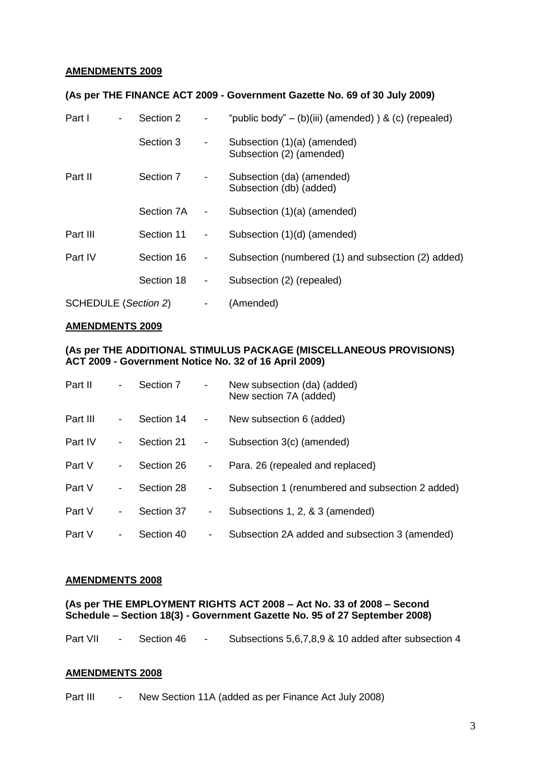## **AMENDMENTS 2009**

## **(As per THE FINANCE ACT 2009 - Government Gazette No. 69 of 30 July 2009)**

| Part I<br>Section 2<br>-    |            |                          | "public body" – (b)(iii) (amended) $\&$ (c) (repealed)  |
|-----------------------------|------------|--------------------------|---------------------------------------------------------|
|                             | Section 3  | $\overline{\phantom{a}}$ | Subsection (1)(a) (amended)<br>Subsection (2) (amended) |
| Part II                     | Section 7  | -                        | Subsection (da) (amended)<br>Subsection (db) (added)    |
|                             | Section 7A | $\overline{\phantom{a}}$ | Subsection (1)(a) (amended)                             |
| Part III                    | Section 11 | -                        | Subsection (1)(d) (amended)                             |
| Part IV                     | Section 16 | -                        | Subsection (numbered (1) and subsection (2) added)      |
|                             | Section 18 | -                        | Subsection (2) (repealed)                               |
| <b>SCHEDULE (Section 2)</b> |            | -                        | (Amended)                                               |

#### **AMENDMENTS 2009**

## **(As per THE ADDITIONAL STIMULUS PACKAGE (MISCELLANEOUS PROVISIONS) ACT 2009 - Government Notice No. 32 of 16 April 2009)**

| Part II  | $\blacksquare$ | Section 7  | $\overline{\phantom{a}}$ | New subsection (da) (added)<br>New section 7A (added) |
|----------|----------------|------------|--------------------------|-------------------------------------------------------|
| Part III | -              | Section 14 | $\overline{\phantom{a}}$ | New subsection 6 (added)                              |
| Part IV  | -              | Section 21 | -                        | Subsection 3(c) (amended)                             |
| Part V   | -              | Section 26 | -                        | Para. 26 (repealed and replaced)                      |
| Part V   | -              | Section 28 | -                        | Subsection 1 (renumbered and subsection 2 added)      |
| Part V   | -              | Section 37 | -                        | Subsections 1, 2, & 3 (amended)                       |
| Part V   | -              | Section 40 | -                        | Subsection 2A added and subsection 3 (amended)        |

#### **AMENDMENTS 2008**

## **(As per THE EMPLOYMENT RIGHTS ACT 2008 – Act No. 33 of 2008 – Second Schedule – Section 18(3) - Government Gazette No. 95 of 27 September 2008)**

| Part VII<br>Section 46 |  | Subsections 5,6,7,8,9 & 10 added after subsection 4 |
|------------------------|--|-----------------------------------------------------|
|------------------------|--|-----------------------------------------------------|

#### **AMENDMENTS 2008**

Part III - New Section 11A (added as per Finance Act July 2008)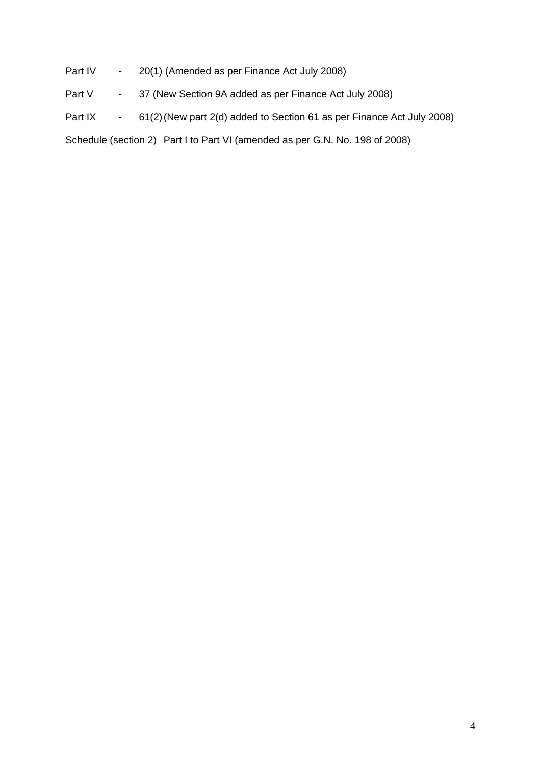Part IV - 20(1) (Amended as per Finance Act July 2008)

Part V - 37 (New Section 9A added as per Finance Act July 2008)

Part IX - 61(2) (New part 2(d) added to Section 61 as per Finance Act July 2008)

Schedule (section 2) Part I to Part VI (amended as per G.N. No. 198 of 2008)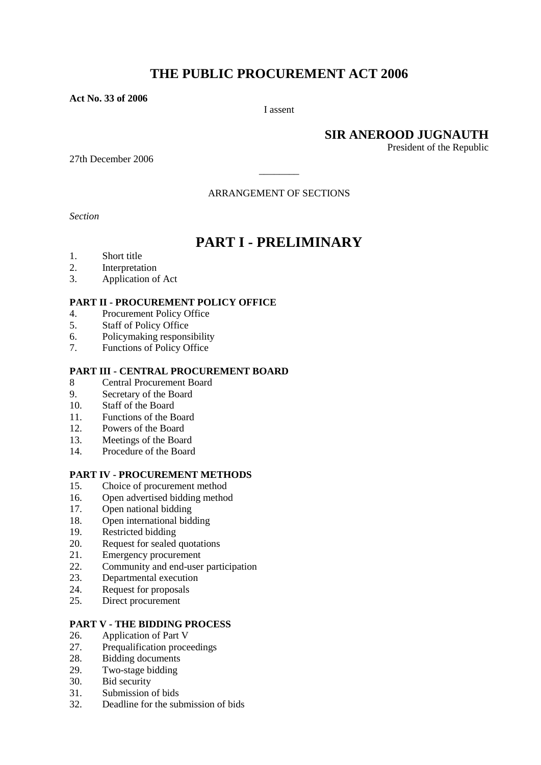# **THE PUBLIC PROCUREMENT ACT 2006**

**Act No. 33 of 2006**

I assent

**SIR ANEROOD JUGNAUTH**

President of the Republic

27th December 2006

ARRANGEMENT OF SECTIONS

\_\_\_\_\_\_\_\_

*Section* 

## **PART I - PRELIMINARY**

- 1. Short title
- 2. Interpretation
- 3. Application of Act

#### **PART II - PROCUREMENT POLICY OFFICE**

- 4. Procurement Policy Office
- 5. Staff of Policy Office
- 6. Policymaking responsibility
- 7. Functions of Policy Office

#### **PART III - CENTRAL PROCUREMENT BOARD**

- 8 Central Procurement Board
- 9. Secretary of the Board
- 10. Staff of the Board
- 11 Functions of the Board
- 12. Powers of the Board
- 13. Meetings of the Board
- 14. Procedure of the Board

#### **PART IV - PROCUREMENT METHODS**

- 15. Choice of procurement method
- 16. Open advertised bidding method
- 17. Open national bidding
- 18. Open international bidding
- 19. Restricted bidding
- 20. Request for sealed quotations
- 21. Emergency procurement
- 22. Community and end-user participation
- 23. Departmental execution
- 24. Request for proposals
- 25. Direct procurement

## **PART V - THE BIDDING PROCESS**

- 26. Application of Part V
- 27. Prequalification proceedings
- 28. Bidding documents
- 29. Two-stage bidding
- 30. Bid security
- 31. Submission of bids
- 32. Deadline for the submission of bids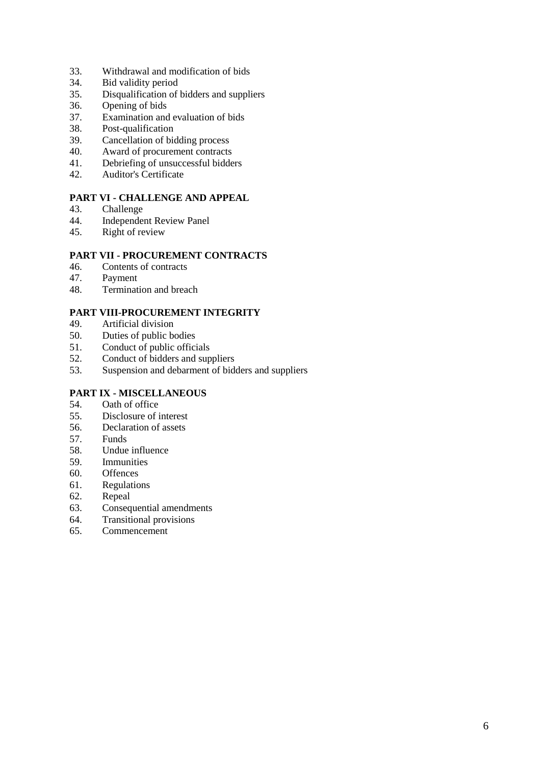- 33. Withdrawal and modification of bids
- 34. Bid validity period
- 35. Disqualification of bidders and suppliers
- 36. Opening of bids
- 37. Examination and evaluation of bids
- 38. Post-qualification
- 39. Cancellation of bidding process
- 40. Award of procurement contracts
- 41. Debriefing of unsuccessful bidders<br>42. Auditor's Certificate
- Auditor's Certificate

## **PART VI - CHALLENGE AND APPEAL**

- 43. Challenge
- 44. Independent Review Panel
- 45. Right of review

## **PART VII - PROCUREMENT CONTRACTS**

- 46. Contents of contracts
- 47. Payment
- 48. Termination and breach

## **PART VIII-PROCUREMENT INTEGRITY**

- 49. Artificial division<br>50. Duties of public be
- Duties of public bodies
- 51. Conduct of public officials
- 52. Conduct of bidders and suppliers
- 53. Suspension and debarment of bidders and suppliers

# **PART IX - MISCELLANEOUS**<br>54. Oath of office

- Oath of office
- 55. Disclosure of interest
- 56. Declaration of assets
- 57. Funds
- 58. Undue influence
- 59. Immunities
- 60. Offences
- 61. Regulations
- 62. Repeal
- 63. Consequential amendments
- 64. Transitional provisions
- 65. Commencement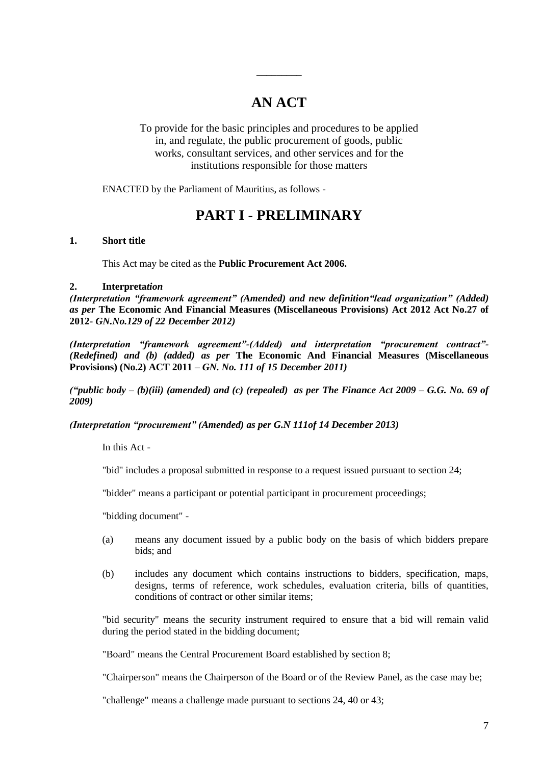# **AN ACT**

**\_\_\_\_\_\_\_\_\_**

To provide for the basic principles and procedures to be applied in, and regulate, the public procurement of goods, public works, consultant services, and other services and for the institutions responsible for those matters

ENACTED by the Parliament of Mauritius, as follows -

## **PART I - PRELIMINARY**

#### **1. Short title**

This Act may be cited as the **Public Procurement Act 2006.**

#### **2. Interpreta***tion*

*(Interpretation "framework agreement" (Amended) and new definition"lead organization" (Added) as per* **The Economic And Financial Measures (Miscellaneous Provisions) Act 2012 Act No.27 of 2012-** *GN.No.129 of 22 December 2012)*

*(Interpretation "framework agreement"-(Added) and interpretation "procurement contract"- (Redefined) and (b) (added) as per* **The Economic And Financial Measures (Miscellaneous Provisions) (No.2) ACT 2011** *– GN. No. 111 of 15 December 2011)*

*("public body – (b)(iii) (amended) and (c) (repealed) as per The Finance Act 2009 – G.G. No. 69 of 2009)*

*(Interpretation "procurement" (Amended) as per G.N 111of 14 December 2013)*

In this Act -

"bid" includes a proposal submitted in response to a request issued pursuant to section 24;

"bidder" means a participant or potential participant in procurement proceedings;

"bidding document" -

- (a) means any document issued by a public body on the basis of which bidders prepare bids; and
- (b) includes any document which contains instructions to bidders, specification, maps, designs, terms of reference, work schedules, evaluation criteria, bills of quantities, conditions of contract or other similar items;

"bid security" means the security instrument required to ensure that a bid will remain valid during the period stated in the bidding document;

"Board" means the Central Procurement Board established by section 8;

"Chairperson" means the Chairperson of the Board or of the Review Panel, as the case may be;

"challenge" means a challenge made pursuant to sections 24, 40 or 43;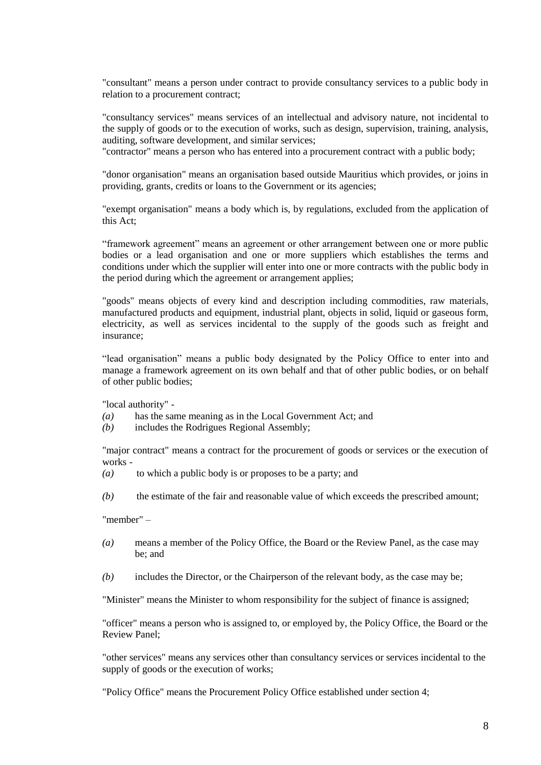"consultant" means a person under contract to provide consultancy services to a public body in relation to a procurement contract;

"consultancy services" means services of an intellectual and advisory nature, not incidental to the supply of goods or to the execution of works, such as design, supervision, training, analysis, auditing, software development, and similar services;

"contractor" means a person who has entered into a procurement contract with a public body;

"donor organisation" means an organisation based outside Mauritius which provides, or joins in providing, grants, credits or loans to the Government or its agencies;

"exempt organisation" means a body which is, by regulations, excluded from the application of this Act;

"framework agreement" means an agreement or other arrangement between one or more public bodies or a lead organisation and one or more suppliers which establishes the terms and conditions under which the supplier will enter into one or more contracts with the public body in the period during which the agreement or arrangement applies;

"goods" means objects of every kind and description including commodities, raw materials, manufactured products and equipment, industrial plant, objects in solid, liquid or gaseous form, electricity, as well as services incidental to the supply of the goods such as freight and insurance;

"lead organisation" means a public body designated by the Policy Office to enter into and manage a framework agreement on its own behalf and that of other public bodies, or on behalf of other public bodies;

"local authority" -

- *(a)* has the same meaning as in the Local Government Act; and
- *(b)* includes the Rodrigues Regional Assembly;

"major contract" means a contract for the procurement of goods or services or the execution of works -

- *(a)* to which a public body is or proposes to be a party; and
- *(b)* the estimate of the fair and reasonable value of which exceeds the prescribed amount;

"member" –

- *(a)* means a member of the Policy Office, the Board or the Review Panel, as the case may be; and
- *(b)* includes the Director, or the Chairperson of the relevant body, as the case may be;

"Minister" means the Minister to whom responsibility for the subject of finance is assigned;

"officer" means a person who is assigned to, or employed by, the Policy Office, the Board or the Review Panel;

"other services" means any services other than consultancy services or services incidental to the supply of goods or the execution of works;

"Policy Office" means the Procurement Policy Office established under section 4;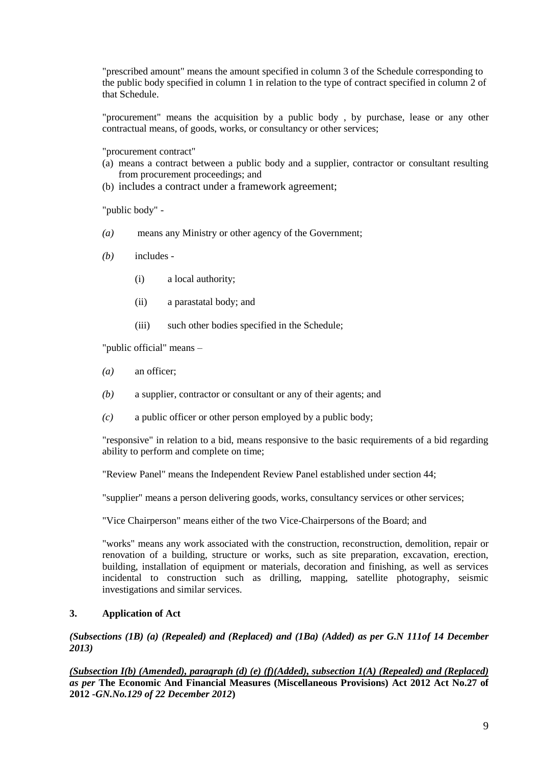"prescribed amount" means the amount specified in column 3 of the Schedule corresponding to the public body specified in column 1 in relation to the type of contract specified in column 2 of that Schedule.

"procurement" means the acquisition by a public body , by purchase, lease or any other contractual means, of goods, works, or consultancy or other services;

"procurement contract"

- (a) means a contract between a public body and a supplier, contractor or consultant resulting from procurement proceedings; and
- (b) includes a contract under a framework agreement;

"public body" -

- *(a)* means any Ministry or other agency of the Government;
- *(b)* includes
	- (i) a local authority;
	- (ii) a parastatal body; and
	- (iii) such other bodies specified in the Schedule;

"public official" means –

- *(a)* an officer;
- *(b)* a supplier, contractor or consultant or any of their agents; and
- *(c)* a public officer or other person employed by a public body;

"responsive" in relation to a bid, means responsive to the basic requirements of a bid regarding ability to perform and complete on time;

"Review Panel" means the Independent Review Panel established under section 44;

"supplier" means a person delivering goods, works, consultancy services or other services;

"Vice Chairperson" means either of the two Vice-Chairpersons of the Board; and

"works" means any work associated with the construction, reconstruction, demolition, repair or renovation of a building, structure or works, such as site preparation, excavation, erection, building, installation of equipment or materials, decoration and finishing, as well as services incidental to construction such as drilling, mapping, satellite photography, seismic investigations and similar services.

## **3. Application of Act**

*(Subsections (1B) (a) (Repealed) and (Replaced) and (1Ba) (Added) as per G.N 111of 14 December 2013)*

*(Subsection I(b) (Amended), paragraph (d) (e) (f)(Added), subsection 1(A) (Repealed) and (Replaced) as per* **The Economic And Financial Measures (Miscellaneous Provisions) Act 2012 Act No.27 of 2012 -***GN.No.129 of 22 December 2012***)**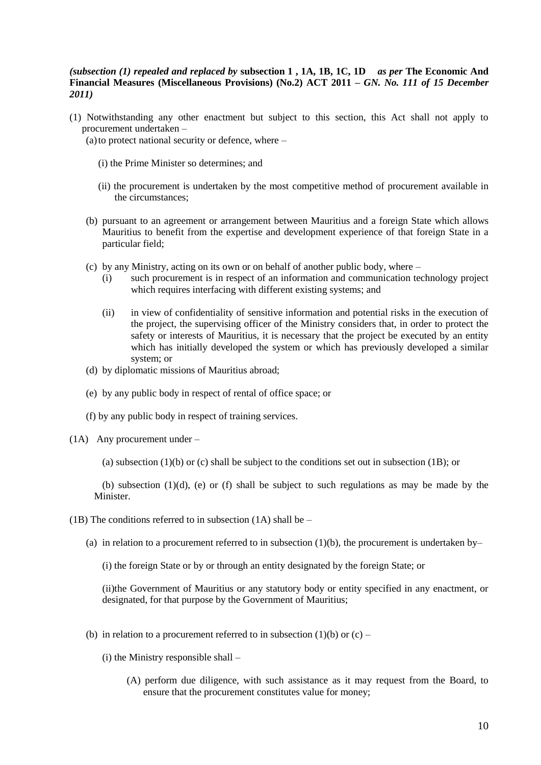#### *(subsection (1) repealed and replaced by* **subsection 1 , 1A, 1B, 1C, 1D** *as per* **The Economic And Financial Measures (Miscellaneous Provisions) (No.2) ACT 2011** *– GN. No. 111 of 15 December 2011)*

- (1) Notwithstanding any other enactment but subject to this section, this Act shall not apply to procurement undertaken –
	- (a) to protect national security or defence, where  $-$ 
		- (i) the Prime Minister so determines; and
		- (ii) the procurement is undertaken by the most competitive method of procurement available in the circumstances;
	- (b) pursuant to an agreement or arrangement between Mauritius and a foreign State which allows Mauritius to benefit from the expertise and development experience of that foreign State in a particular field;
	- (c) by any Ministry, acting on its own or on behalf of another public body, where
		- (i) such procurement is in respect of an information and communication technology project which requires interfacing with different existing systems; and
		- (ii) in view of confidentiality of sensitive information and potential risks in the execution of the project, the supervising officer of the Ministry considers that, in order to protect the safety or interests of Mauritius, it is necessary that the project be executed by an entity which has initially developed the system or which has previously developed a similar system; or
	- (d) by diplomatic missions of Mauritius abroad;
	- (e) by any public body in respect of rental of office space; or
	- (f) by any public body in respect of training services.
- (1A) Any procurement under
	- (a) subsection  $(1)(b)$  or  $(c)$  shall be subject to the conditions set out in subsection  $(1B)$ ; or

(b) subsection  $(1)(d)$ , (e) or  $(f)$  shall be subject to such regulations as may be made by the Minister.

- (1B) The conditions referred to in subsection (1A) shall be  $-$ 
	- (a) in relation to a procurement referred to in subsection (1)(b), the procurement is undertaken by–
		- (i) the foreign State or by or through an entity designated by the foreign State; or

(ii)the Government of Mauritius or any statutory body or entity specified in any enactment, or designated, for that purpose by the Government of Mauritius;

- (b) in relation to a procurement referred to in subsection  $(1)(b)$  or  $(c)$ 
	- (i) the Ministry responsible shall
		- (A) perform due diligence, with such assistance as it may request from the Board, to ensure that the procurement constitutes value for money;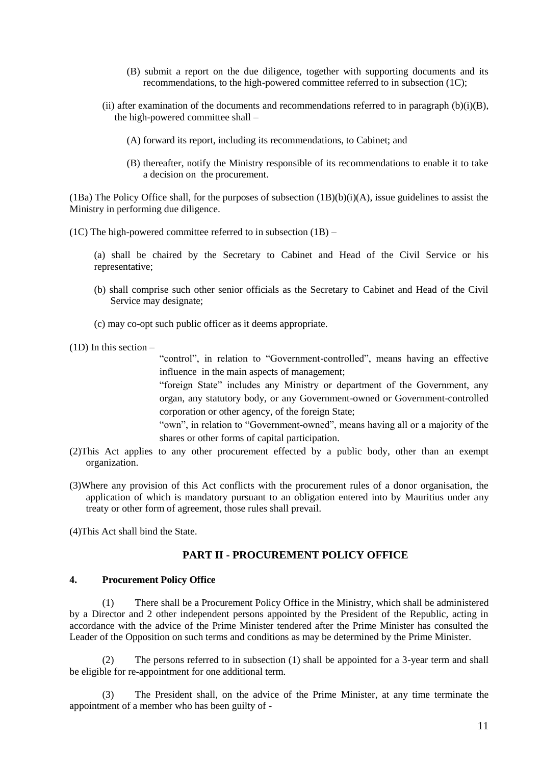- (B) submit a report on the due diligence, together with supporting documents and its recommendations, to the high-powered committee referred to in subsection (1C);
- (ii) after examination of the documents and recommendations referred to in paragraph  $(b)(i)(B)$ , the high-powered committee shall –
	- (A) forward its report, including its recommendations, to Cabinet; and
	- (B) thereafter, notify the Ministry responsible of its recommendations to enable it to take a decision on the procurement.

(1Ba) The Policy Office shall, for the purposes of subsection  $(1B)(b)(i)(A)$ , issue guidelines to assist the Ministry in performing due diligence.

(1C) The high-powered committee referred to in subsection  $(1B)$  –

(a) shall be chaired by the Secretary to Cabinet and Head of the Civil Service or his representative;

- (b) shall comprise such other senior officials as the Secretary to Cabinet and Head of the Civil Service may designate;
- (c) may co-opt such public officer as it deems appropriate.

(1D) In this section –

"control", in relation to "Government-controlled", means having an effective influence in the main aspects of management;

"foreign State" includes any Ministry or department of the Government, any organ, any statutory body, or any Government-owned or Government-controlled corporation or other agency, of the foreign State;

"own", in relation to "Government-owned", means having all or a majority of the shares or other forms of capital participation.

- (2)This Act applies to any other procurement effected by a public body, other than an exempt organization.
- (3)Where any provision of this Act conflicts with the procurement rules of a donor organisation, the application of which is mandatory pursuant to an obligation entered into by Mauritius under any treaty or other form of agreement, those rules shall prevail.
- (4)This Act shall bind the State.

## **PART II - PROCUREMENT POLICY OFFICE**

#### **4. Procurement Policy Office**

(1) There shall be a Procurement Policy Office in the Ministry, which shall be administered by a Director and 2 other independent persons appointed by the President of the Republic, acting in accordance with the advice of the Prime Minister tendered after the Prime Minister has consulted the Leader of the Opposition on such terms and conditions as may be determined by the Prime Minister.

(2) The persons referred to in subsection (1) shall be appointed for a 3-year term and shall be eligible for re-appointment for one additional term.

(3) The President shall, on the advice of the Prime Minister, at any time terminate the appointment of a member who has been guilty of -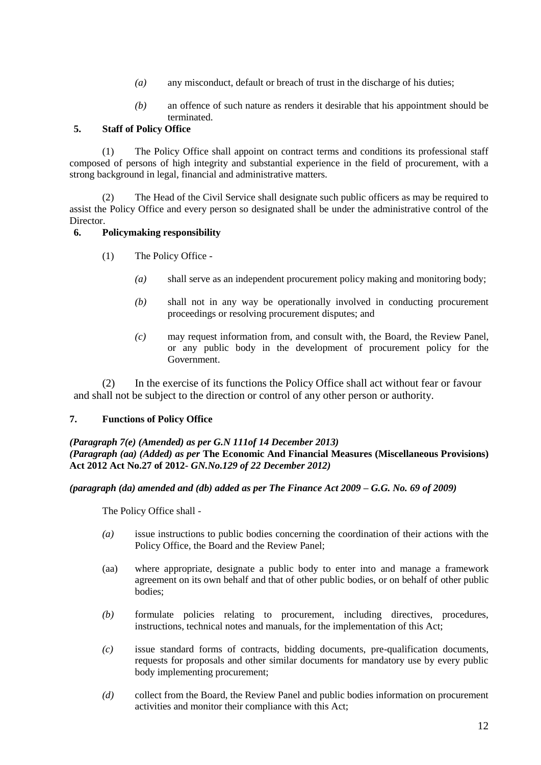- *(a)* any misconduct, default or breach of trust in the discharge of his duties;
- *(b)* an offence of such nature as renders it desirable that his appointment should be terminated.

## **5. Staff of Policy Office**

(1) The Policy Office shall appoint on contract terms and conditions its professional staff composed of persons of high integrity and substantial experience in the field of procurement, with a strong background in legal, financial and administrative matters.

(2) The Head of the Civil Service shall designate such public officers as may be required to assist the Policy Office and every person so designated shall be under the administrative control of the Director.

## **6. Policymaking responsibility**

- (1) The Policy Office
	- *(a)* shall serve as an independent procurement policy making and monitoring body;
	- *(b)* shall not in any way be operationally involved in conducting procurement proceedings or resolving procurement disputes; and
	- *(c)* may request information from, and consult with, the Board, the Review Panel, or any public body in the development of procurement policy for the Government.

(2) In the exercise of its functions the Policy Office shall act without fear or favour and shall not be subject to the direction or control of any other person or authority.

## **7. Functions of Policy Office**

*(Paragraph 7(e) (Amended) as per G.N 111of 14 December 2013)*

*(Paragraph (aa) (Added) as per* **The Economic And Financial Measures (Miscellaneous Provisions) Act 2012 Act No.27 of 2012-** *GN.No.129 of 22 December 2012)*

## *(paragraph (da) amended and (db) added as per The Finance Act 2009 – G.G. No. 69 of 2009)*

The Policy Office shall -

- *(a)* issue instructions to public bodies concerning the coordination of their actions with the Policy Office, the Board and the Review Panel;
- (aa) where appropriate, designate a public body to enter into and manage a framework agreement on its own behalf and that of other public bodies, or on behalf of other public bodies;
- *(b)* formulate policies relating to procurement, including directives, procedures, instructions, technical notes and manuals, for the implementation of this Act;
- *(c)* issue standard forms of contracts, bidding documents, pre-qualification documents, requests for proposals and other similar documents for mandatory use by every public body implementing procurement;
- *(d)* collect from the Board, the Review Panel and public bodies information on procurement activities and monitor their compliance with this Act;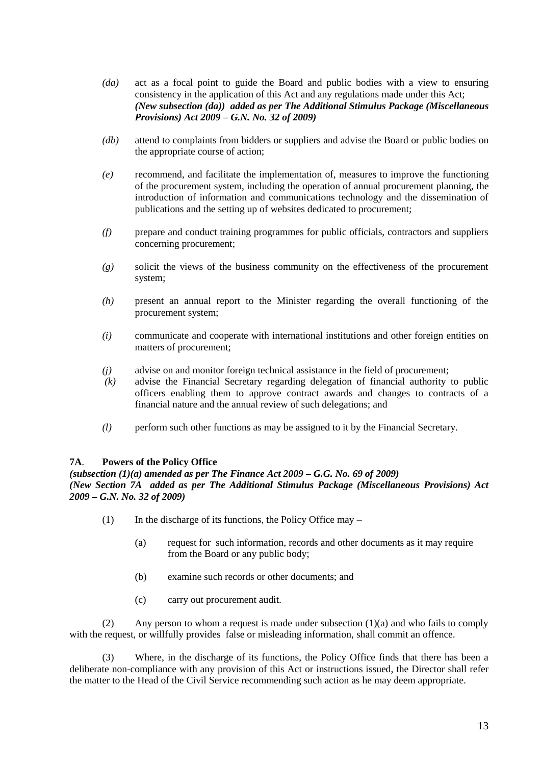- *(da)* act as a focal point to guide the Board and public bodies with a view to ensuring consistency in the application of this Act and any regulations made under this Act; *(New subsection (da)) added as per The Additional Stimulus Package (Miscellaneous Provisions) Act 2009 – G.N. No. 32 of 2009)*
- *(db)* attend to complaints from bidders or suppliers and advise the Board or public bodies on the appropriate course of action;
- *(e)* recommend, and facilitate the implementation of, measures to improve the functioning of the procurement system, including the operation of annual procurement planning, the introduction of information and communications technology and the dissemination of publications and the setting up of websites dedicated to procurement;
- *(f)* prepare and conduct training programmes for public officials, contractors and suppliers concerning procurement;
- *(g)* solicit the views of the business community on the effectiveness of the procurement system;
- *(h)* present an annual report to the Minister regarding the overall functioning of the procurement system;
- *(i)* communicate and cooperate with international institutions and other foreign entities on matters of procurement;
- *(j)* advise on and monitor foreign technical assistance in the field of procurement;
- *(k)* advise the Financial Secretary regarding delegation of financial authority to public officers enabling them to approve contract awards and changes to contracts of a financial nature and the annual review of such delegations; and
- *(l)* perform such other functions as may be assigned to it by the Financial Secretary.

## **7A**. **Powers of the Policy Office**

## *(subsection (1)(a) amended as per The Finance Act 2009 – G.G. No. 69 of 2009) (New Section 7A added as per The Additional Stimulus Package (Miscellaneous Provisions) Act 2009 – G.N. No. 32 of 2009)*

- $(1)$  In the discharge of its functions, the Policy Office may
	- (a) request for such information, records and other documents as it may require from the Board or any public body;
	- (b) examine such records or other documents; and
	- (c) carry out procurement audit.

(2) Any person to whom a request is made under subsection  $(1)(a)$  and who fails to comply with the request, or willfully provides false or misleading information, shall commit an offence.

(3) Where, in the discharge of its functions, the Policy Office finds that there has been a deliberate non-compliance with any provision of this Act or instructions issued, the Director shall refer the matter to the Head of the Civil Service recommending such action as he may deem appropriate.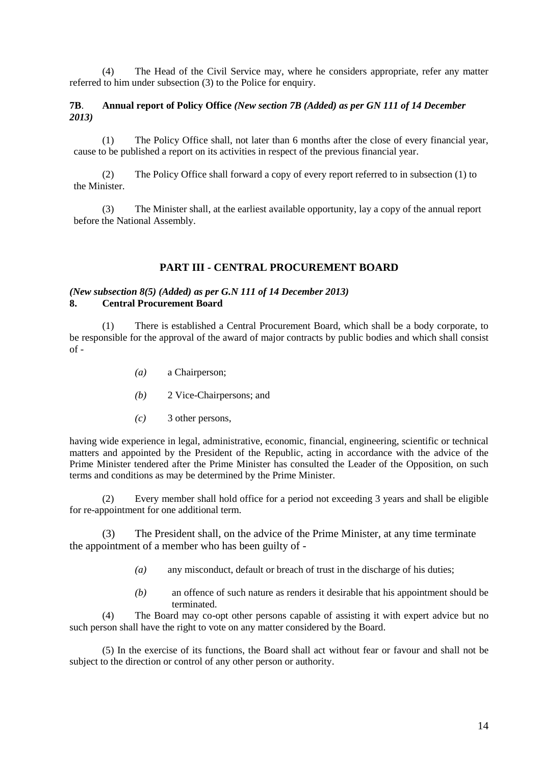(4) The Head of the Civil Service may, where he considers appropriate, refer any matter referred to him under subsection (3) to the Police for enquiry.

## **7B**. **Annual report of Policy Office** *(New section 7B (Added) as per GN 111 of 14 December 2013)*

(1) The Policy Office shall, not later than 6 months after the close of every financial year, cause to be published a report on its activities in respect of the previous financial year.

(2) The Policy Office shall forward a copy of every report referred to in subsection (1) to the Minister.

(3) The Minister shall, at the earliest available opportunity, lay a copy of the annual report before the National Assembly.

#### **PART III - CENTRAL PROCUREMENT BOARD**

#### *(New subsection 8(5) (Added) as per G.N 111 of 14 December 2013)* **8. Central Procurement Board**

(1) There is established a Central Procurement Board, which shall be a body corporate, to be responsible for the approval of the award of major contracts by public bodies and which shall consist  $of -$ 

- *(a)* a Chairperson;
- *(b)* 2 Vice-Chairpersons; and
- *(c)* 3 other persons,

having wide experience in legal, administrative, economic, financial, engineering, scientific or technical matters and appointed by the President of the Republic, acting in accordance with the advice of the Prime Minister tendered after the Prime Minister has consulted the Leader of the Opposition, on such terms and conditions as may be determined by the Prime Minister.

(2) Every member shall hold office for a period not exceeding 3 years and shall be eligible for re-appointment for one additional term.

(3) The President shall, on the advice of the Prime Minister, at any time terminate the appointment of a member who has been guilty of -

- *(a)* any misconduct, default or breach of trust in the discharge of his duties;
- *(b)* an offence of such nature as renders it desirable that his appointment should be terminated.

(4) The Board may co-opt other persons capable of assisting it with expert advice but no such person shall have the right to vote on any matter considered by the Board.

(5) In the exercise of its functions, the Board shall act without fear or favour and shall not be subject to the direction or control of any other person or authority.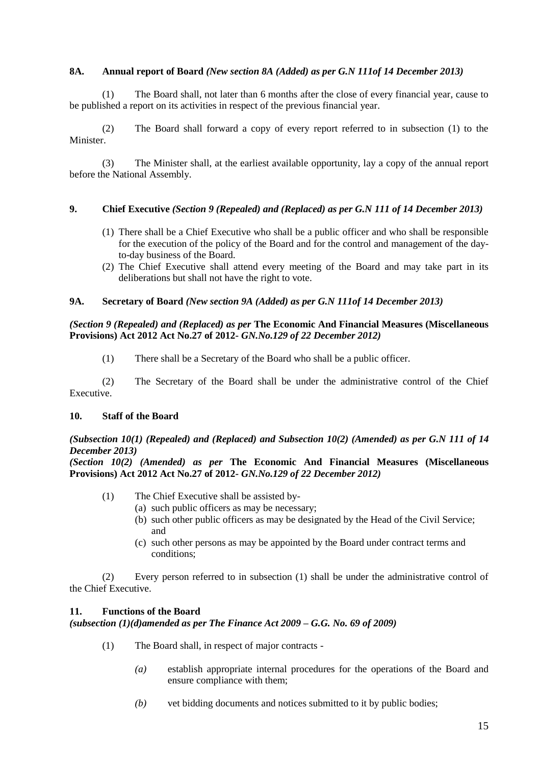## **8A. Annual report of Board** *(New section 8A (Added) as per G.N 111of 14 December 2013)*

(1) The Board shall, not later than 6 months after the close of every financial year, cause to be published a report on its activities in respect of the previous financial year.

(2) The Board shall forward a copy of every report referred to in subsection (1) to the Minister.

(3) The Minister shall, at the earliest available opportunity, lay a copy of the annual report before the National Assembly.

## **9. Chief Executive** *(Section 9 (Repealed) and (Replaced) as per G.N 111 of 14 December 2013)*

- (1) There shall be a Chief Executive who shall be a public officer and who shall be responsible for the execution of the policy of the Board and for the control and management of the dayto-day business of the Board.
- (2) The Chief Executive shall attend every meeting of the Board and may take part in its deliberations but shall not have the right to vote.

## **9A. Secretary of Board** *(New section 9A (Added) as per G.N 111of 14 December 2013)*

#### *(Section 9 (Repealed) and (Replaced) as per* **The Economic And Financial Measures (Miscellaneous Provisions) Act 2012 Act No.27 of 2012-** *GN.No.129 of 22 December 2012)*

(1) There shall be a Secretary of the Board who shall be a public officer.

(2) The Secretary of the Board shall be under the administrative control of the Chief Executive.

#### **10. Staff of the Board**

## *(Subsection 10(1) (Repealed) and (Replaced) and Subsection 10(2) (Amended) as per G.N 111 of 14 December 2013)*

*(Section 10(2) (Amended) as per* **The Economic And Financial Measures (Miscellaneous Provisions) Act 2012 Act No.27 of 2012-** *GN.No.129 of 22 December 2012)*

- (1) The Chief Executive shall be assisted by-
	- (a) such public officers as may be necessary;
	- (b) such other public officers as may be designated by the Head of the Civil Service; and
	- (c) such other persons as may be appointed by the Board under contract terms and conditions;

(2) Every person referred to in subsection (1) shall be under the administrative control of the Chief Executive.

#### **11. Functions of the Board**

*(subsection (1)(d)amended as per The Finance Act 2009 – G.G. No. 69 of 2009)*

- (1) The Board shall, in respect of major contracts
	- *(a)* establish appropriate internal procedures for the operations of the Board and ensure compliance with them;
	- *(b)* vet bidding documents and notices submitted to it by public bodies;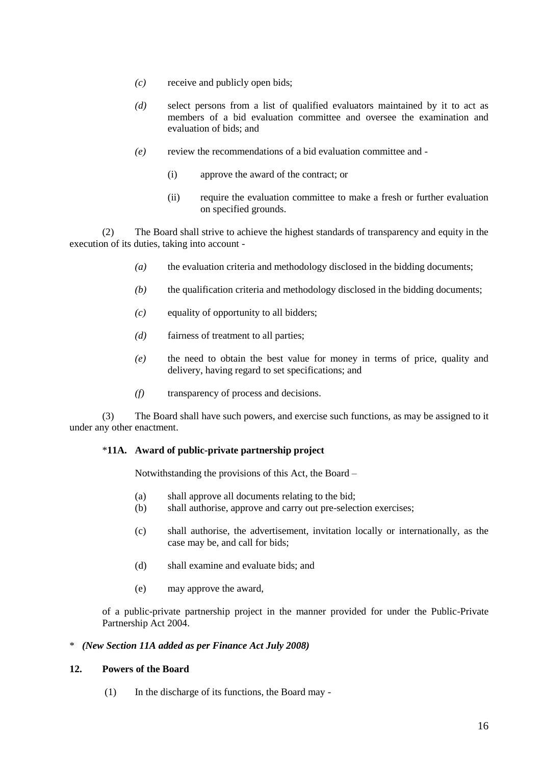- *(c)* receive and publicly open bids;
- *(d)* select persons from a list of qualified evaluators maintained by it to act as members of a bid evaluation committee and oversee the examination and evaluation of bids; and
- *(e)* review the recommendations of a bid evaluation committee and
	- (i) approve the award of the contract; or
	- (ii) require the evaluation committee to make a fresh or further evaluation on specified grounds.

(2) The Board shall strive to achieve the highest standards of transparency and equity in the execution of its duties, taking into account -

- *(a)* the evaluation criteria and methodology disclosed in the bidding documents;
- *(b)* the qualification criteria and methodology disclosed in the bidding documents;
- *(c)* equality of opportunity to all bidders;
- *(d)* fairness of treatment to all parties;
- *(e)* the need to obtain the best value for money in terms of price, quality and delivery, having regard to set specifications; and
- *(f)* transparency of process and decisions.

(3) The Board shall have such powers, and exercise such functions, as may be assigned to it under any other enactment.

## \***11A. Award of public-private partnership project**

Notwithstanding the provisions of this Act, the Board –

- (a) shall approve all documents relating to the bid;
- (b) shall authorise, approve and carry out pre-selection exercises;
- (c) shall authorise, the advertisement, invitation locally or internationally, as the case may be, and call for bids;
- (d) shall examine and evaluate bids; and
- (e) may approve the award,

of a public-private partnership project in the manner provided for under the Public-Private Partnership Act 2004.

#### \* *(New Section 11A added as per Finance Act July 2008)*

#### **12. Powers of the Board**

(1) In the discharge of its functions, the Board may -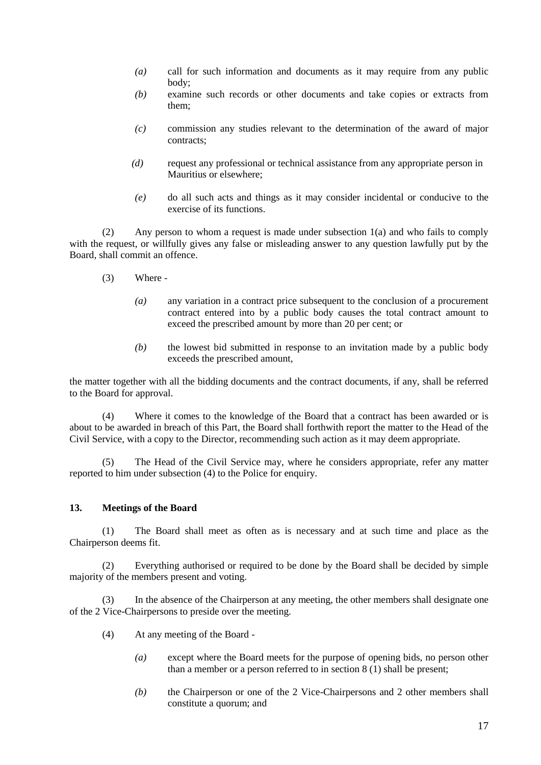- *(a)* call for such information and documents as it may require from any public body;
- *(b)* examine such records or other documents and take copies or extracts from them;
- *(c)* commission any studies relevant to the determination of the award of major contracts;
- *(d)* request any professional or technical assistance from any appropriate person in Mauritius or elsewhere;
- *(e)* do all such acts and things as it may consider incidental or conducive to the exercise of its functions.

(2) Any person to whom a request is made under subsection 1(a) and who fails to comply with the request, or willfully gives any false or misleading answer to any question lawfully put by the Board, shall commit an offence.

- (3) Where
	- *(a)* any variation in a contract price subsequent to the conclusion of a procurement contract entered into by a public body causes the total contract amount to exceed the prescribed amount by more than 20 per cent; or
	- *(b)* the lowest bid submitted in response to an invitation made by a public body exceeds the prescribed amount,

the matter together with all the bidding documents and the contract documents, if any, shall be referred to the Board for approval.

(4) Where it comes to the knowledge of the Board that a contract has been awarded or is about to be awarded in breach of this Part, the Board shall forthwith report the matter to the Head of the Civil Service, with a copy to the Director, recommending such action as it may deem appropriate.

(5) The Head of the Civil Service may, where he considers appropriate, refer any matter reported to him under subsection (4) to the Police for enquiry.

## **13. Meetings of the Board**

(1) The Board shall meet as often as is necessary and at such time and place as the Chairperson deems fit.

(2) Everything authorised or required to be done by the Board shall be decided by simple majority of the members present and voting.

(3) In the absence of the Chairperson at any meeting, the other members shall designate one of the 2 Vice-Chairpersons to preside over the meeting.

- (4) At any meeting of the Board
	- *(a)* except where the Board meets for the purpose of opening bids, no person other than a member or a person referred to in section 8 (1) shall be present;
	- *(b)* the Chairperson or one of the 2 Vice-Chairpersons and 2 other members shall constitute a quorum; and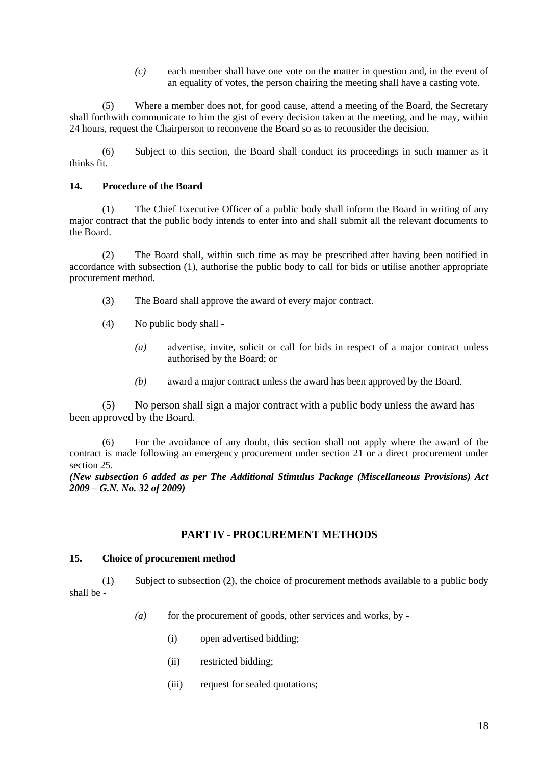*(c)* each member shall have one vote on the matter in question and, in the event of an equality of votes, the person chairing the meeting shall have a casting vote.

(5) Where a member does not, for good cause, attend a meeting of the Board, the Secretary shall forthwith communicate to him the gist of every decision taken at the meeting, and he may, within 24 hours, request the Chairperson to reconvene the Board so as to reconsider the decision.

(6) Subject to this section, the Board shall conduct its proceedings in such manner as it thinks fit.

## **14. Procedure of the Board**

(1) The Chief Executive Officer of a public body shall inform the Board in writing of any major contract that the public body intends to enter into and shall submit all the relevant documents to the Board.

(2) The Board shall, within such time as may be prescribed after having been notified in accordance with subsection (1), authorise the public body to call for bids or utilise another appropriate procurement method.

- (3) The Board shall approve the award of every major contract.
- (4) No public body shall
	- *(a)* advertise, invite, solicit or call for bids in respect of a major contract unless authorised by the Board; or
	- *(b)* award a major contract unless the award has been approved by the Board.

(5) No person shall sign a major contract with a public body unless the award has been approved by the Board.

(6) For the avoidance of any doubt, this section shall not apply where the award of the contract is made following an emergency procurement under section 21 or a direct procurement under section 25.

*(New subsection 6 added as per The Additional Stimulus Package (Miscellaneous Provisions) Act 2009 – G.N. No. 32 of 2009)*

## **PART IV - PROCUREMENT METHODS**

#### **15. Choice of procurement method**

(1) Subject to subsection (2), the choice of procurement methods available to a public body shall be -

- *(a)* for the procurement of goods, other services and works, by -
	- (i) open advertised bidding;
	- (ii) restricted bidding;
	- (iii) request for sealed quotations;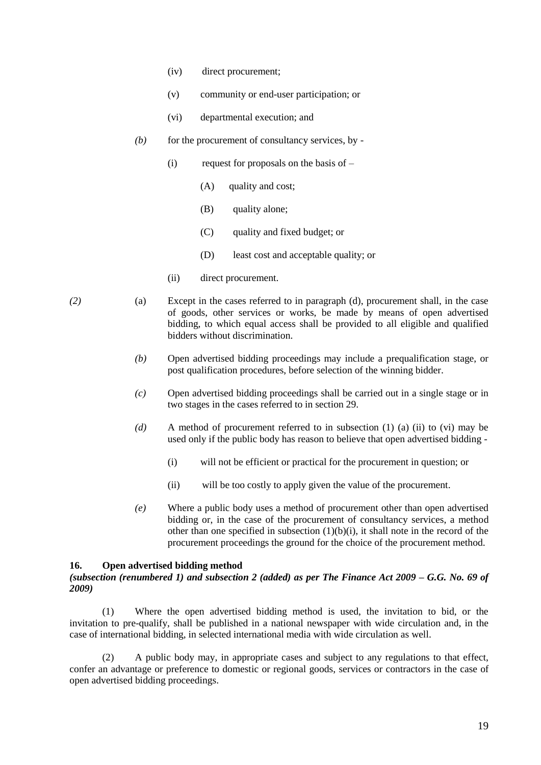- (iv) direct procurement;
- (v) community or end-user participation; or
- (vi) departmental execution; and
- *(b)* for the procurement of consultancy services, by
	- (i) request for proposals on the basis of  $-$ 
		- (A) quality and cost;
		- (B) quality alone;
		- (C) quality and fixed budget; or
		- (D) least cost and acceptable quality; or
	- (ii) direct procurement.
- *(2)* (a) Except in the cases referred to in paragraph (d), procurement shall, in the case of goods, other services or works, be made by means of open advertised bidding, to which equal access shall be provided to all eligible and qualified bidders without discrimination.
	- *(b)* Open advertised bidding proceedings may include a prequalification stage, or post qualification procedures, before selection of the winning bidder.
	- *(c)* Open advertised bidding proceedings shall be carried out in a single stage or in two stages in the cases referred to in section 29.
	- *(d)* A method of procurement referred to in subsection (1) (a) (ii) to (vi) may be used only if the public body has reason to believe that open advertised bidding -
		- (i) will not be efficient or practical for the procurement in question; or
		- (ii) will be too costly to apply given the value of the procurement.
	- *(e)* Where a public body uses a method of procurement other than open advertised bidding or, in the case of the procurement of consultancy services, a method other than one specified in subsection (1)(b)(i), it shall note in the record of the procurement proceedings the ground for the choice of the procurement method.

#### **16. Open advertised bidding method**

#### *(subsection (renumbered 1) and subsection 2 (added) as per The Finance Act 2009 – G.G. No. 69 of 2009)*

(1) Where the open advertised bidding method is used, the invitation to bid, or the invitation to pre-qualify, shall be published in a national newspaper with wide circulation and, in the case of international bidding, in selected international media with wide circulation as well.

(2) A public body may, in appropriate cases and subject to any regulations to that effect, confer an advantage or preference to domestic or regional goods, services or contractors in the case of open advertised bidding proceedings.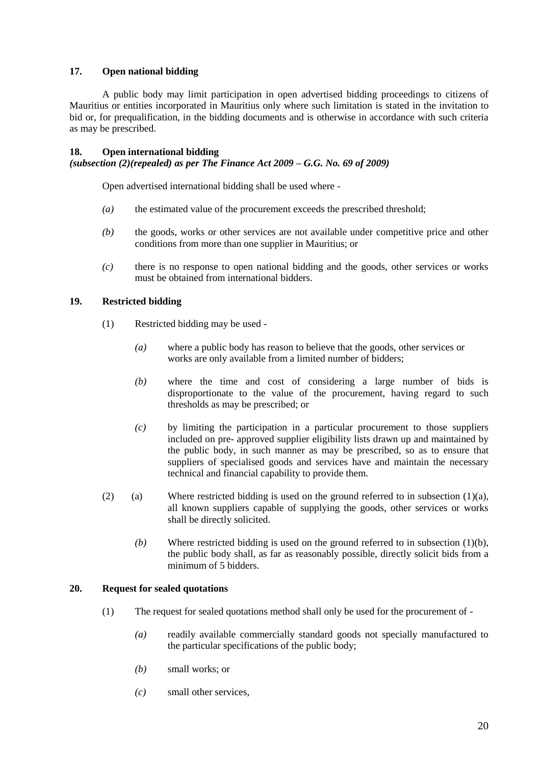## **17. Open national bidding**

A public body may limit participation in open advertised bidding proceedings to citizens of Mauritius or entities incorporated in Mauritius only where such limitation is stated in the invitation to bid or, for prequalification, in the bidding documents and is otherwise in accordance with such criteria as may be prescribed.

#### **18. Open international bidding**

#### *(subsection (2)(repealed) as per The Finance Act 2009 – G.G. No. 69 of 2009)*

Open advertised international bidding shall be used where -

- *(a)* the estimated value of the procurement exceeds the prescribed threshold;
- *(b)* the goods, works or other services are not available under competitive price and other conditions from more than one supplier in Mauritius; or
- *(c)* there is no response to open national bidding and the goods, other services or works must be obtained from international bidders.

#### **19. Restricted bidding**

- (1) Restricted bidding may be used
	- *(a)* where a public body has reason to believe that the goods, other services or works are only available from a limited number of bidders;
	- *(b)* where the time and cost of considering a large number of bids is disproportionate to the value of the procurement, having regard to such thresholds as may be prescribed; or
	- *(c)* by limiting the participation in a particular procurement to those suppliers included on pre- approved supplier eligibility lists drawn up and maintained by the public body, in such manner as may be prescribed, so as to ensure that suppliers of specialised goods and services have and maintain the necessary technical and financial capability to provide them.
- (2) (a) Where restricted bidding is used on the ground referred to in subsection  $(1)(a)$ , all known suppliers capable of supplying the goods, other services or works shall be directly solicited.
	- *(b)* Where restricted bidding is used on the ground referred to in subsection (1)(b), the public body shall, as far as reasonably possible, directly solicit bids from a minimum of 5 bidders.

#### **20. Request for sealed quotations**

- (1) The request for sealed quotations method shall only be used for the procurement of
	- *(a)* readily available commercially standard goods not specially manufactured to the particular specifications of the public body;
	- *(b)* small works; or
	- *(c)* small other services,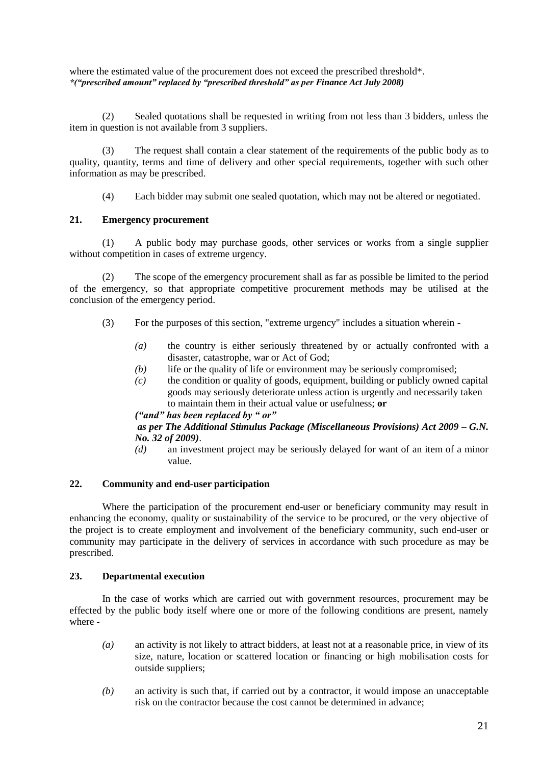where the estimated value of the procurement does not exceed the prescribed threshold\*. *\*("prescribed amount" replaced by "prescribed threshold" as per Finance Act July 2008)*

(2) Sealed quotations shall be requested in writing from not less than 3 bidders, unless the item in question is not available from 3 suppliers.

(3) The request shall contain a clear statement of the requirements of the public body as to quality, quantity, terms and time of delivery and other special requirements, together with such other information as may be prescribed.

(4) Each bidder may submit one sealed quotation, which may not be altered or negotiated.

## **21. Emergency procurement**

(1) A public body may purchase goods, other services or works from a single supplier without competition in cases of extreme urgency.

(2) The scope of the emergency procurement shall as far as possible be limited to the period of the emergency, so that appropriate competitive procurement methods may be utilised at the conclusion of the emergency period.

- (3) For the purposes of this section, "extreme urgency" includes a situation wherein
	- *(a)* the country is either seriously threatened by or actually confronted with a disaster, catastrophe, war or Act of God;
	- *(b)* life or the quality of life or environment may be seriously compromised;
	- *(c)* the condition or quality of goods, equipment, building or publicly owned capital goods may seriously deteriorate unless action is urgently and necessarily taken to maintain them in their actual value or usefulness; **or**

#### *("and" has been replaced by " or"*

## *as per The Additional Stimulus Package (Miscellaneous Provisions) Act 2009 – G.N. No. 32 of 2009)*.

*(d)* an investment project may be seriously delayed for want of an item of a minor value.

## **22. Community and end-user participation**

Where the participation of the procurement end-user or beneficiary community may result in enhancing the economy, quality or sustainability of the service to be procured, or the very objective of the project is to create employment and involvement of the beneficiary community, such end-user or community may participate in the delivery of services in accordance with such procedure as may be prescribed.

#### **23. Departmental execution**

In the case of works which are carried out with government resources, procurement may be effected by the public body itself where one or more of the following conditions are present, namely where -

- *(a)* an activity is not likely to attract bidders, at least not at a reasonable price, in view of its size, nature, location or scattered location or financing or high mobilisation costs for outside suppliers;
- *(b)* an activity is such that, if carried out by a contractor, it would impose an unacceptable risk on the contractor because the cost cannot be determined in advance;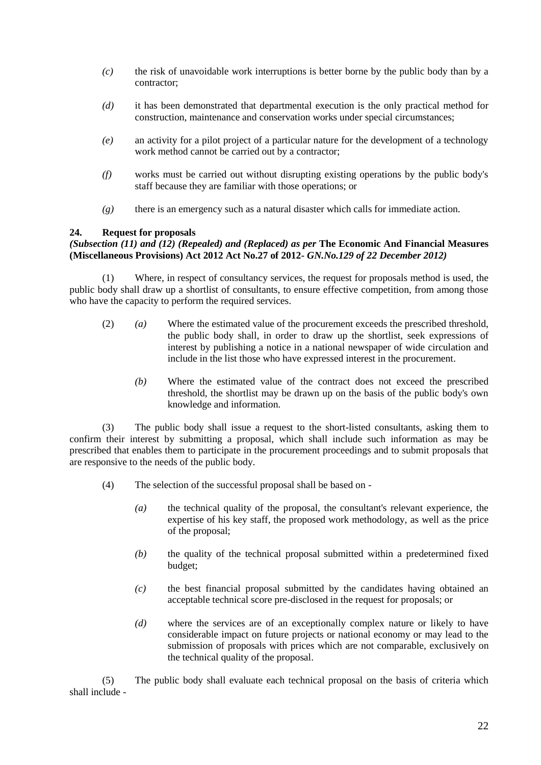- *(c)* the risk of unavoidable work interruptions is better borne by the public body than by a contractor;
- *(d)* it has been demonstrated that departmental execution is the only practical method for construction, maintenance and conservation works under special circumstances;
- *(e)* an activity for a pilot project of a particular nature for the development of a technology work method cannot be carried out by a contractor;
- *(f)* works must be carried out without disrupting existing operations by the public body's staff because they are familiar with those operations; or
- *(g)* there is an emergency such as a natural disaster which calls for immediate action.

## **24. Request for proposals**

## *(Subsection (11) and (12) (Repealed) and (Replaced) as per* **The Economic And Financial Measures (Miscellaneous Provisions) Act 2012 Act No.27 of 2012-** *GN.No.129 of 22 December 2012)*

(1) Where, in respect of consultancy services, the request for proposals method is used, the public body shall draw up a shortlist of consultants, to ensure effective competition, from among those who have the capacity to perform the required services.

- (2) *(a)* Where the estimated value of the procurement exceeds the prescribed threshold, the public body shall, in order to draw up the shortlist, seek expressions of interest by publishing a notice in a national newspaper of wide circulation and include in the list those who have expressed interest in the procurement.
	- *(b)* Where the estimated value of the contract does not exceed the prescribed threshold, the shortlist may be drawn up on the basis of the public body's own knowledge and information.

(3) The public body shall issue a request to the short-listed consultants, asking them to confirm their interest by submitting a proposal, which shall include such information as may be prescribed that enables them to participate in the procurement proceedings and to submit proposals that are responsive to the needs of the public body.

- (4) The selection of the successful proposal shall be based on
	- *(a)* the technical quality of the proposal, the consultant's relevant experience, the expertise of his key staff, the proposed work methodology, as well as the price of the proposal;
	- *(b)* the quality of the technical proposal submitted within a predetermined fixed budget;
	- *(c)* the best financial proposal submitted by the candidates having obtained an acceptable technical score pre-disclosed in the request for proposals; or
	- *(d)* where the services are of an exceptionally complex nature or likely to have considerable impact on future projects or national economy or may lead to the submission of proposals with prices which are not comparable, exclusively on the technical quality of the proposal.

(5) The public body shall evaluate each technical proposal on the basis of criteria which shall include -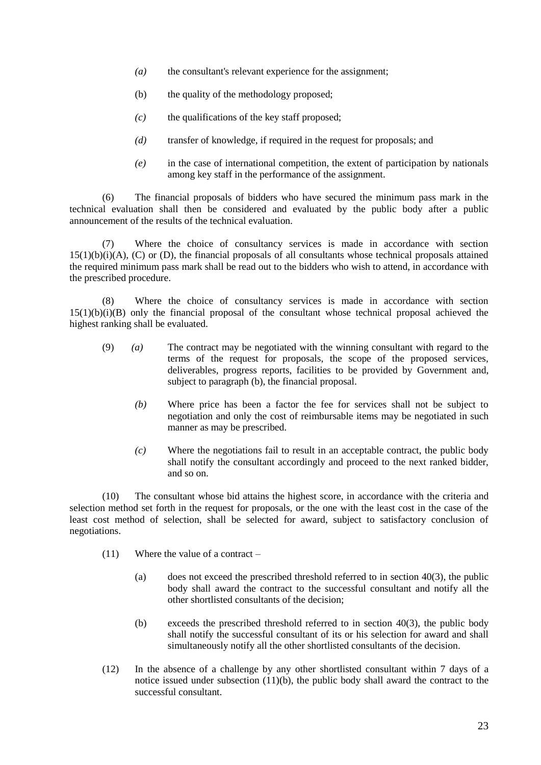- *(a)* the consultant's relevant experience for the assignment;
- (b) the quality of the methodology proposed;
- *(c)* the qualifications of the key staff proposed;
- *(d)* transfer of knowledge, if required in the request for proposals; and
- *(e)* in the case of international competition, the extent of participation by nationals among key staff in the performance of the assignment.

(6) The financial proposals of bidders who have secured the minimum pass mark in the technical evaluation shall then be considered and evaluated by the public body after a public announcement of the results of the technical evaluation.

(7) Where the choice of consultancy services is made in accordance with section 15(1)(b)(i)(A), (C) or (D), the financial proposals of all consultants whose technical proposals attained the required minimum pass mark shall be read out to the bidders who wish to attend, in accordance with the prescribed procedure.

(8) Where the choice of consultancy services is made in accordance with section 15(1)(b)(i)(B) only the financial proposal of the consultant whose technical proposal achieved the highest ranking shall be evaluated.

- (9) *(a)* The contract may be negotiated with the winning consultant with regard to the terms of the request for proposals, the scope of the proposed services, deliverables, progress reports, facilities to be provided by Government and, subject to paragraph (b), the financial proposal.
	- *(b)* Where price has been a factor the fee for services shall not be subject to negotiation and only the cost of reimbursable items may be negotiated in such manner as may be prescribed.
	- *(c)* Where the negotiations fail to result in an acceptable contract, the public body shall notify the consultant accordingly and proceed to the next ranked bidder, and so on.

(10) The consultant whose bid attains the highest score, in accordance with the criteria and selection method set forth in the request for proposals, or the one with the least cost in the case of the least cost method of selection, shall be selected for award, subject to satisfactory conclusion of negotiations.

- (11) Where the value of a contract
	- (a) does not exceed the prescribed threshold referred to in section  $40(3)$ , the public body shall award the contract to the successful consultant and notify all the other shortlisted consultants of the decision;
	- (b) exceeds the prescribed threshold referred to in section 40(3), the public body shall notify the successful consultant of its or his selection for award and shall simultaneously notify all the other shortlisted consultants of the decision.
- (12) In the absence of a challenge by any other shortlisted consultant within 7 days of a notice issued under subsection (11)(b), the public body shall award the contract to the successful consultant.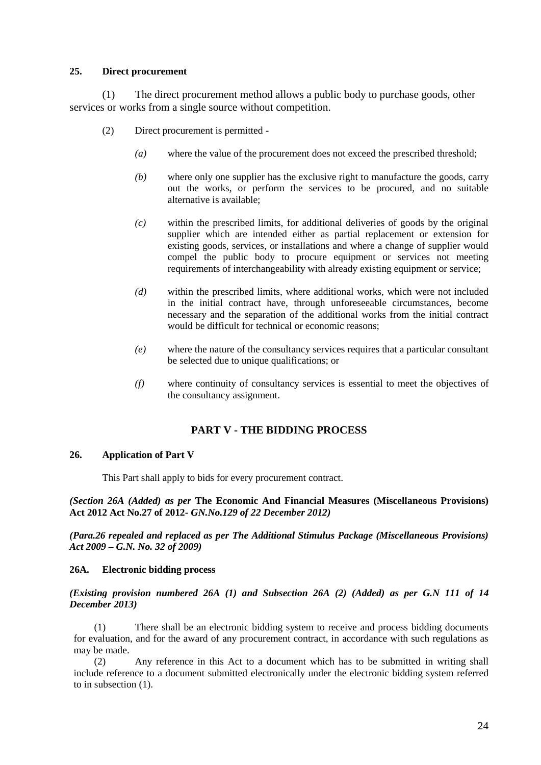#### **25. Direct procurement**

(1) The direct procurement method allows a public body to purchase goods, other services or works from a single source without competition.

- (2) Direct procurement is permitted
	- *(a)* where the value of the procurement does not exceed the prescribed threshold;
	- *(b)* where only one supplier has the exclusive right to manufacture the goods, carry out the works, or perform the services to be procured, and no suitable alternative is available;
	- *(c)* within the prescribed limits, for additional deliveries of goods by the original supplier which are intended either as partial replacement or extension for existing goods, services, or installations and where a change of supplier would compel the public body to procure equipment or services not meeting requirements of interchangeability with already existing equipment or service;
	- *(d)* within the prescribed limits, where additional works, which were not included in the initial contract have, through unforeseeable circumstances, become necessary and the separation of the additional works from the initial contract would be difficult for technical or economic reasons;
	- *(e)* where the nature of the consultancy services requires that a particular consultant be selected due to unique qualifications; or
	- *(f)* where continuity of consultancy services is essential to meet the objectives of the consultancy assignment.

## **PART V - THE BIDDING PROCESS**

#### **26. Application of Part V**

This Part shall apply to bids for every procurement contract.

*(Section 26A (Added) as per* **The Economic And Financial Measures (Miscellaneous Provisions) Act 2012 Act No.27 of 2012-** *GN.No.129 of 22 December 2012)*

*(Para.26 repealed and replaced as per The Additional Stimulus Package (Miscellaneous Provisions) Act 2009 – G.N. No. 32 of 2009)*

#### **26A. Electronic bidding process**

#### *(Existing provision numbered 26A (1) and Subsection 26A (2) (Added) as per G.N 111 of 14 December 2013)*

(1) There shall be an electronic bidding system to receive and process bidding documents for evaluation, and for the award of any procurement contract, in accordance with such regulations as may be made.

(2) Any reference in this Act to a document which has to be submitted in writing shall include reference to a document submitted electronically under the electronic bidding system referred to in subsection (1).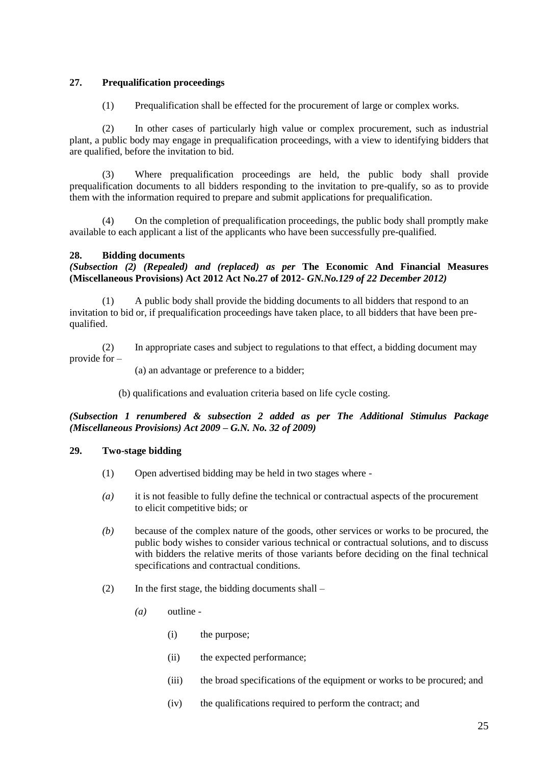## **27. Prequalification proceedings**

(1) Prequalification shall be effected for the procurement of large or complex works.

(2) In other cases of particularly high value or complex procurement, such as industrial plant, a public body may engage in prequalification proceedings, with a view to identifying bidders that are qualified, before the invitation to bid.

(3) Where prequalification proceedings are held, the public body shall provide prequalification documents to all bidders responding to the invitation to pre-qualify, so as to provide them with the information required to prepare and submit applications for prequalification.

(4) On the completion of prequalification proceedings, the public body shall promptly make available to each applicant a list of the applicants who have been successfully pre-qualified.

## **28. Bidding documents**

*(Subsection (2) (Repealed) and (replaced) as per* **The Economic And Financial Measures (Miscellaneous Provisions) Act 2012 Act No.27 of 2012-** *GN.No.129 of 22 December 2012)*

(1) A public body shall provide the bidding documents to all bidders that respond to an invitation to bid or, if prequalification proceedings have taken place, to all bidders that have been prequalified.

(2) In appropriate cases and subject to regulations to that effect, a bidding document may provide for –

(a) an advantage or preference to a bidder;

(b) qualifications and evaluation criteria based on life cycle costing.

*(Subsection 1 renumbered & subsection 2 added as per The Additional Stimulus Package (Miscellaneous Provisions) Act 2009 – G.N. No. 32 of 2009)*

#### **29. Two-stage bidding**

- (1) Open advertised bidding may be held in two stages where -
- *(a)* it is not feasible to fully define the technical or contractual aspects of the procurement to elicit competitive bids; or
- *(b)* because of the complex nature of the goods, other services or works to be procured, the public body wishes to consider various technical or contractual solutions, and to discuss with bidders the relative merits of those variants before deciding on the final technical specifications and contractual conditions.
- $(2)$  In the first stage, the bidding documents shall
	- *(a)* outline
		- (i) the purpose;
		- (ii) the expected performance;
		- (iii) the broad specifications of the equipment or works to be procured; and
		- (iv) the qualifications required to perform the contract; and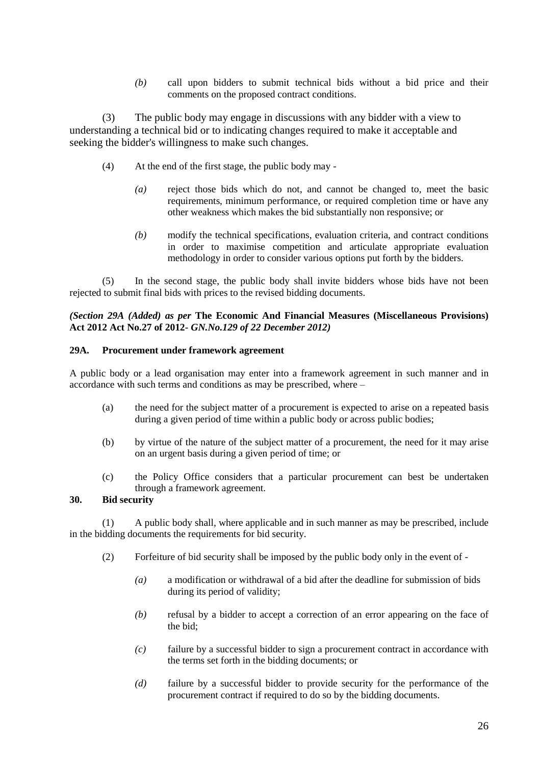*(b)* call upon bidders to submit technical bids without a bid price and their comments on the proposed contract conditions.

(3) The public body may engage in discussions with any bidder with a view to understanding a technical bid or to indicating changes required to make it acceptable and seeking the bidder's willingness to make such changes.

- (4) At the end of the first stage, the public body may
	- *(a)* reject those bids which do not, and cannot be changed to, meet the basic requirements, minimum performance, or required completion time or have any other weakness which makes the bid substantially non responsive; or
	- *(b)* modify the technical specifications, evaluation criteria, and contract conditions in order to maximise competition and articulate appropriate evaluation methodology in order to consider various options put forth by the bidders.

(5) In the second stage, the public body shall invite bidders whose bids have not been rejected to submit final bids with prices to the revised bidding documents.

#### *(Section 29A (Added) as per* **The Economic And Financial Measures (Miscellaneous Provisions) Act 2012 Act No.27 of 2012-** *GN.No.129 of 22 December 2012)*

#### **29A. Procurement under framework agreement**

A public body or a lead organisation may enter into a framework agreement in such manner and in accordance with such terms and conditions as may be prescribed, where –

- (a) the need for the subject matter of a procurement is expected to arise on a repeated basis during a given period of time within a public body or across public bodies;
- (b) by virtue of the nature of the subject matter of a procurement, the need for it may arise on an urgent basis during a given period of time; or
- (c) the Policy Office considers that a particular procurement can best be undertaken through a framework agreement.

#### **30. Bid security**

(1) A public body shall, where applicable and in such manner as may be prescribed, include in the bidding documents the requirements for bid security.

- (2) Forfeiture of bid security shall be imposed by the public body only in the event of
	- *(a)* a modification or withdrawal of a bid after the deadline for submission of bids during its period of validity;
	- *(b)* refusal by a bidder to accept a correction of an error appearing on the face of the bid;
	- *(c)* failure by a successful bidder to sign a procurement contract in accordance with the terms set forth in the bidding documents; or
	- *(d)* failure by a successful bidder to provide security for the performance of the procurement contract if required to do so by the bidding documents.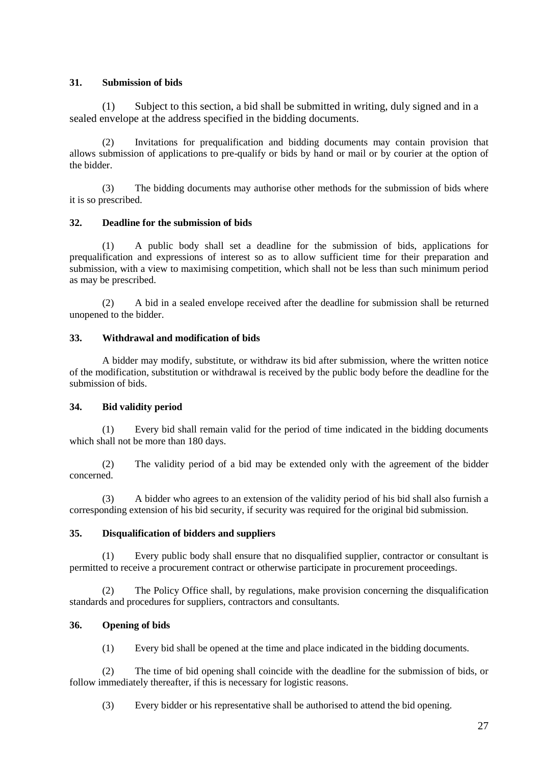## **31. Submission of bids**

(1) Subject to this section, a bid shall be submitted in writing, duly signed and in a sealed envelope at the address specified in the bidding documents.

(2) Invitations for prequalification and bidding documents may contain provision that allows submission of applications to pre-qualify or bids by hand or mail or by courier at the option of the bidder.

(3) The bidding documents may authorise other methods for the submission of bids where it is so prescribed.

## **32. Deadline for the submission of bids**

(1) A public body shall set a deadline for the submission of bids, applications for prequalification and expressions of interest so as to allow sufficient time for their preparation and submission, with a view to maximising competition, which shall not be less than such minimum period as may be prescribed.

(2) A bid in a sealed envelope received after the deadline for submission shall be returned unopened to the bidder.

## **33. Withdrawal and modification of bids**

A bidder may modify, substitute, or withdraw its bid after submission, where the written notice of the modification, substitution or withdrawal is received by the public body before the deadline for the submission of bids.

#### **34. Bid validity period**

(1) Every bid shall remain valid for the period of time indicated in the bidding documents which shall not be more than 180 days.

(2) The validity period of a bid may be extended only with the agreement of the bidder concerned.

(3) A bidder who agrees to an extension of the validity period of his bid shall also furnish a corresponding extension of his bid security, if security was required for the original bid submission.

#### **35. Disqualification of bidders and suppliers**

(1) Every public body shall ensure that no disqualified supplier, contractor or consultant is permitted to receive a procurement contract or otherwise participate in procurement proceedings.

(2) The Policy Office shall, by regulations, make provision concerning the disqualification standards and procedures for suppliers, contractors and consultants.

## **36. Opening of bids**

(1) Every bid shall be opened at the time and place indicated in the bidding documents.

(2) The time of bid opening shall coincide with the deadline for the submission of bids, or follow immediately thereafter, if this is necessary for logistic reasons.

(3) Every bidder or his representative shall be authorised to attend the bid opening.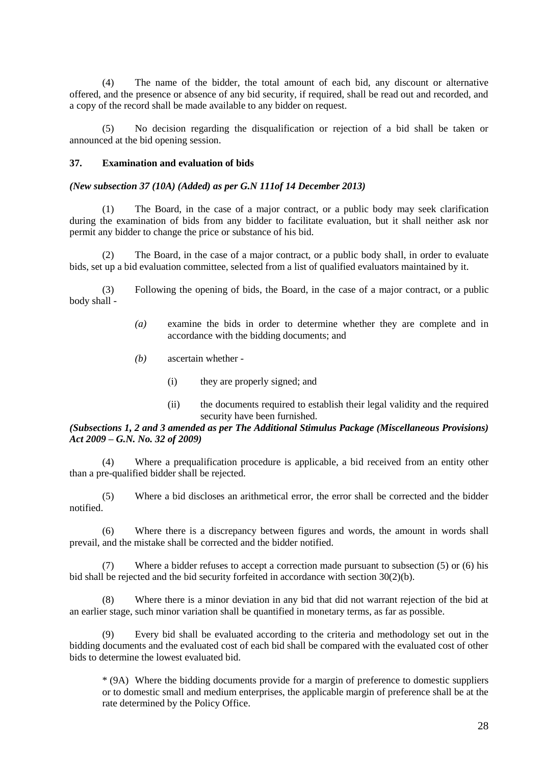(4) The name of the bidder, the total amount of each bid, any discount or alternative offered, and the presence or absence of any bid security, if required, shall be read out and recorded, and a copy of the record shall be made available to any bidder on request.

(5) No decision regarding the disqualification or rejection of a bid shall be taken or announced at the bid opening session.

#### **37. Examination and evaluation of bids**

#### *(New subsection 37 (10A) (Added) as per G.N 111of 14 December 2013)*

(1) The Board, in the case of a major contract, or a public body may seek clarification during the examination of bids from any bidder to facilitate evaluation, but it shall neither ask nor permit any bidder to change the price or substance of his bid.

(2) The Board, in the case of a major contract, or a public body shall, in order to evaluate bids, set up a bid evaluation committee, selected from a list of qualified evaluators maintained by it.

(3) Following the opening of bids, the Board, in the case of a major contract, or a public body shall -

- *(a)* examine the bids in order to determine whether they are complete and in accordance with the bidding documents; and
- *(b)* ascertain whether
	- (i) they are properly signed; and
	- (ii) the documents required to establish their legal validity and the required security have been furnished.

#### *(Subsections 1, 2 and 3 amended as per The Additional Stimulus Package (Miscellaneous Provisions) Act 2009 – G.N. No. 32 of 2009)*

(4) Where a prequalification procedure is applicable, a bid received from an entity other than a pre-qualified bidder shall be rejected.

(5) Where a bid discloses an arithmetical error, the error shall be corrected and the bidder notified.

(6) Where there is a discrepancy between figures and words, the amount in words shall prevail, and the mistake shall be corrected and the bidder notified.

(7) Where a bidder refuses to accept a correction made pursuant to subsection (5) or (6) his bid shall be rejected and the bid security forfeited in accordance with section 30(2)(b).

(8) Where there is a minor deviation in any bid that did not warrant rejection of the bid at an earlier stage, such minor variation shall be quantified in monetary terms, as far as possible.

(9) Every bid shall be evaluated according to the criteria and methodology set out in the bidding documents and the evaluated cost of each bid shall be compared with the evaluated cost of other bids to determine the lowest evaluated bid.

\* (9A) Where the bidding documents provide for a margin of preference to domestic suppliers or to domestic small and medium enterprises, the applicable margin of preference shall be at the rate determined by the Policy Office.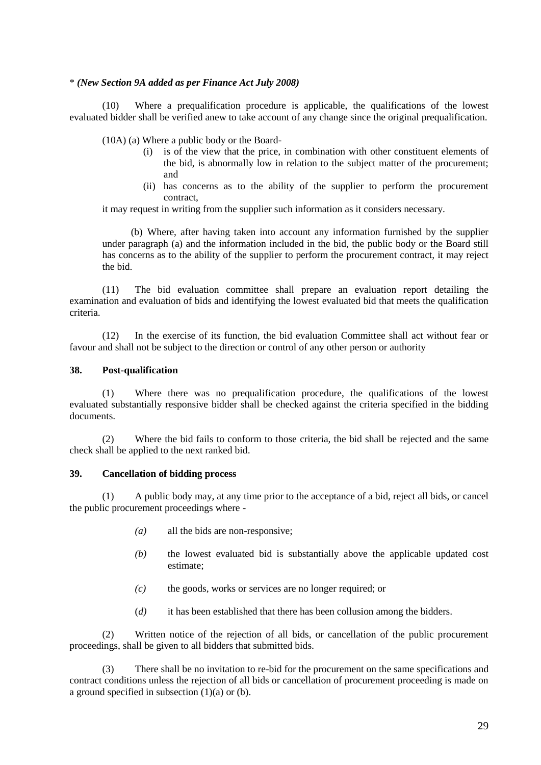#### \* *(New Section 9A added as per Finance Act July 2008)*

(10) Where a prequalification procedure is applicable, the qualifications of the lowest evaluated bidder shall be verified anew to take account of any change since the original prequalification.

(10A) (a) Where a public body or the Board-

- (i) is of the view that the price, in combination with other constituent elements of the bid, is abnormally low in relation to the subject matter of the procurement; and
- (ii) has concerns as to the ability of the supplier to perform the procurement contract,

it may request in writing from the supplier such information as it considers necessary.

(b) Where, after having taken into account any information furnished by the supplier under paragraph (a) and the information included in the bid, the public body or the Board still has concerns as to the ability of the supplier to perform the procurement contract, it may reject the bid.

(11) The bid evaluation committee shall prepare an evaluation report detailing the examination and evaluation of bids and identifying the lowest evaluated bid that meets the qualification criteria.

(12) In the exercise of its function, the bid evaluation Committee shall act without fear or favour and shall not be subject to the direction or control of any other person or authority

#### **38. Post-qualification**

(1) Where there was no prequalification procedure, the qualifications of the lowest evaluated substantially responsive bidder shall be checked against the criteria specified in the bidding documents.

(2) Where the bid fails to conform to those criteria, the bid shall be rejected and the same check shall be applied to the next ranked bid.

## **39. Cancellation of bidding process**

(1) A public body may, at any time prior to the acceptance of a bid, reject all bids, or cancel the public procurement proceedings where -

- *(a)* all the bids are non-responsive;
- *(b)* the lowest evaluated bid is substantially above the applicable updated cost estimate;
- *(c)* the goods, works or services are no longer required; or
- (*d)* it has been established that there has been collusion among the bidders.

(2) Written notice of the rejection of all bids, or cancellation of the public procurement proceedings, shall be given to all bidders that submitted bids.

(3) There shall be no invitation to re-bid for the procurement on the same specifications and contract conditions unless the rejection of all bids or cancellation of procurement proceeding is made on a ground specified in subsection  $(1)(a)$  or  $(b)$ .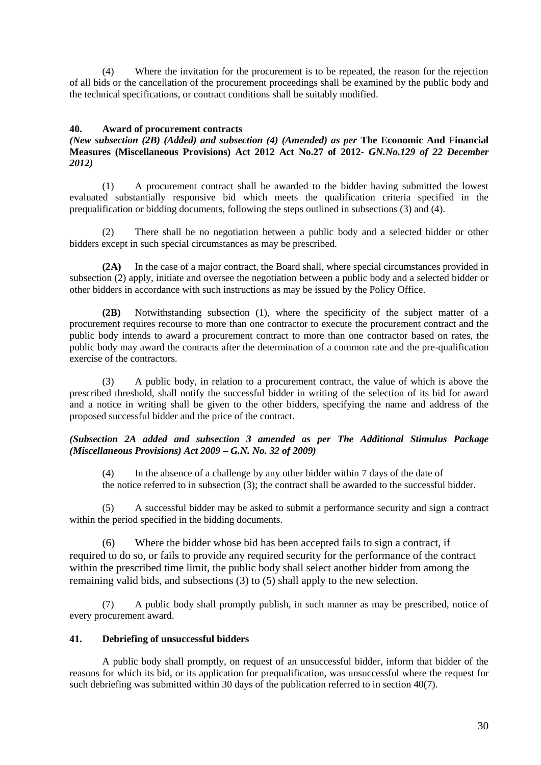(4) Where the invitation for the procurement is to be repeated, the reason for the rejection of all bids or the cancellation of the procurement proceedings shall be examined by the public body and the technical specifications, or contract conditions shall be suitably modified.

#### **40. Award of procurement contracts**

## *(New subsection (2B) (Added) and subsection (4) (Amended) as per* **The Economic And Financial Measures (Miscellaneous Provisions) Act 2012 Act No.27 of 2012-** *GN.No.129 of 22 December 2012)*

(1) A procurement contract shall be awarded to the bidder having submitted the lowest evaluated substantially responsive bid which meets the qualification criteria specified in the prequalification or bidding documents, following the steps outlined in subsections (3) and (4).

(2) There shall be no negotiation between a public body and a selected bidder or other bidders except in such special circumstances as may be prescribed.

**(2A)** In the case of a major contract, the Board shall, where special circumstances provided in subsection (2) apply, initiate and oversee the negotiation between a public body and a selected bidder or other bidders in accordance with such instructions as may be issued by the Policy Office.

**(2B)** Notwithstanding subsection (1), where the specificity of the subject matter of a procurement requires recourse to more than one contractor to execute the procurement contract and the public body intends to award a procurement contract to more than one contractor based on rates, the public body may award the contracts after the determination of a common rate and the pre-qualification exercise of the contractors.

(3) A public body, in relation to a procurement contract, the value of which is above the prescribed threshold, shall notify the successful bidder in writing of the selection of its bid for award and a notice in writing shall be given to the other bidders, specifying the name and address of the proposed successful bidder and the price of the contract.

#### *(Subsection 2A added and subsection 3 amended as per The Additional Stimulus Package (Miscellaneous Provisions) Act 2009 – G.N. No. 32 of 2009)*

(4) In the absence of a challenge by any other bidder within 7 days of the date of the notice referred to in subsection (3); the contract shall be awarded to the successful bidder.

(5) A successful bidder may be asked to submit a performance security and sign a contract within the period specified in the bidding documents.

(6) Where the bidder whose bid has been accepted fails to sign a contract, if required to do so, or fails to provide any required security for the performance of the contract within the prescribed time limit, the public body shall select another bidder from among the remaining valid bids, and subsections (3) to (5) shall apply to the new selection.

(7) A public body shall promptly publish, in such manner as may be prescribed, notice of every procurement award.

#### **41. Debriefing of unsuccessful bidders**

A public body shall promptly, on request of an unsuccessful bidder, inform that bidder of the reasons for which its bid, or its application for prequalification, was unsuccessful where the request for such debriefing was submitted within 30 days of the publication referred to in section 40(7).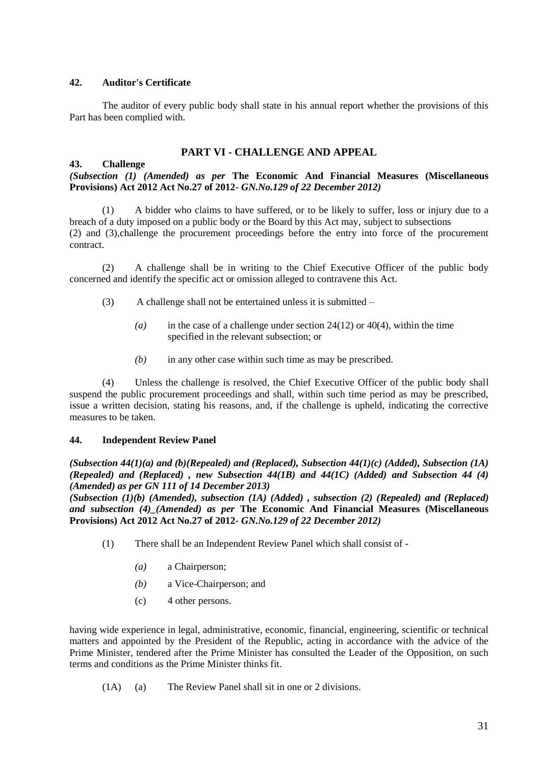## **42. Auditor's Certificate**

The auditor of every public body shall state in his annual report whether the provisions of this Part has been complied with.

## **PART VI - CHALLENGE AND APPEAL**

## **43. Challenge**

*(Subsection (1) (Amended) as per* **The Economic And Financial Measures (Miscellaneous Provisions) Act 2012 Act No.27 of 2012-** *GN.No.129 of 22 December 2012)*

(1) A bidder who claims to have suffered, or to be likely to suffer, loss or injury due to a breach of a duty imposed on a public body or the Board by this Act may, subject to subsections (2) and (3),challenge the procurement proceedings before the entry into force of the procurement contract.

(2) A challenge shall be in writing to the Chief Executive Officer of the public body concerned and identify the specific act or omission alleged to contravene this Act.

- (3) A challenge shall not be entertained unless it is submitted
	- *(a)* in the case of a challenge under section 24(12) or 40(4), within the time specified in the relevant subsection; or
	- *(b)* in any other case within such time as may be prescribed.

(4) Unless the challenge is resolved, the Chief Executive Officer of the public body shall suspend the public procurement proceedings and shall, within such time period as may be prescribed, issue a written decision, stating his reasons, and, if the challenge is upheld, indicating the corrective measures to be taken.

## **44. Independent Review Panel**

*(Subsection 44(1)(a) and (b)(Repealed) and (Replaced), Subsection 44(1)(c) (Added), Subsection (1A) (Repealed) and (Replaced) , new Subsection 44(1B) and 44(1C) (Added) and Subsection 44 (4) (Amended) as per GN 111 of 14 December 2013)*

*(Subsection (1)(b) (Amended), subsection (1A) (Added) , subsection (2) (Repealed) and (Replaced) and subsection (4)\_(Amended) as per* **The Economic And Financial Measures (Miscellaneous Provisions) Act 2012 Act No.27 of 2012-** *GN.No.129 of 22 December 2012)*

- (1) There shall be an Independent Review Panel which shall consist of
	- *(a)* a Chairperson;
	- *(b)* a Vice-Chairperson; and
	- (c) 4 other persons.

having wide experience in legal, administrative, economic, financial, engineering, scientific or technical matters and appointed by the President of the Republic, acting in accordance with the advice of the Prime Minister, tendered after the Prime Minister has consulted the Leader of the Opposition, on such terms and conditions as the Prime Minister thinks fit.

(1A) (a) The Review Panel shall sit in one or 2 divisions.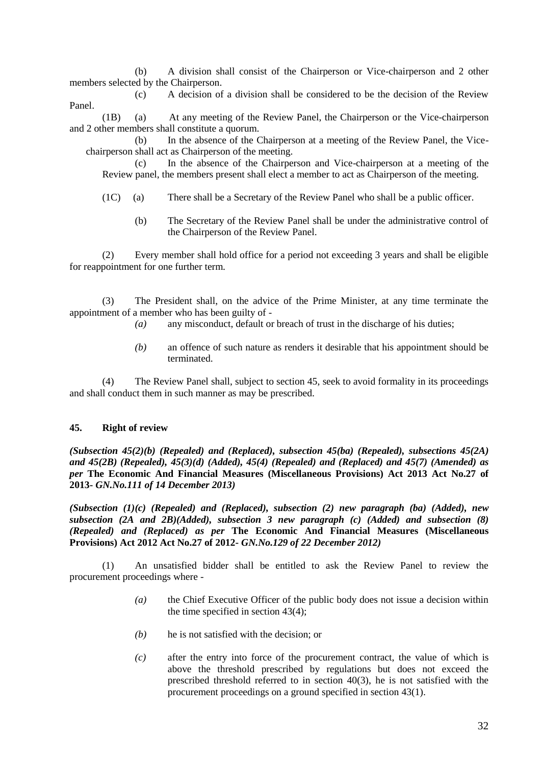(b) A division shall consist of the Chairperson or Vice-chairperson and 2 other members selected by the Chairperson.

(c) A decision of a division shall be considered to be the decision of the Review Panel.

(1B) (a) At any meeting of the Review Panel, the Chairperson or the Vice-chairperson and 2 other members shall constitute a quorum.

(b) In the absence of the Chairperson at a meeting of the Review Panel, the Vicechairperson shall act as Chairperson of the meeting.

(c) In the absence of the Chairperson and Vice-chairperson at a meeting of the Review panel, the members present shall elect a member to act as Chairperson of the meeting.

- (1C) (a) There shall be a Secretary of the Review Panel who shall be a public officer.
	- (b) The Secretary of the Review Panel shall be under the administrative control of the Chairperson of the Review Panel.

(2) Every member shall hold office for a period not exceeding 3 years and shall be eligible for reappointment for one further term.

(3) The President shall, on the advice of the Prime Minister, at any time terminate the appointment of a member who has been guilty of -

- *(a)* any misconduct, default or breach of trust in the discharge of his duties;
- *(b)* an offence of such nature as renders it desirable that his appointment should be terminated.

(4) The Review Panel shall, subject to section 45, seek to avoid formality in its proceedings and shall conduct them in such manner as may be prescribed.

#### **45. Right of review**

*(Subsection 45(2)(b) (Repealed) and (Replaced), subsection 45(ba) (Repealed), subsections 45(2A) and 45(2B) (Repealed), 45(3)(d) (Added), 45(4) (Repealed) and (Replaced) and 45(7) (Amended) as per* **The Economic And Financial Measures (Miscellaneous Provisions) Act 2013 Act No.27 of 2013-** *GN.No.111 of 14 December 2013)*

*(Subsection (1)(c) (Repealed) and (Replaced), subsection (2) new paragraph (ba) (Added), new subsection (2A and 2B)(Added), subsection 3 new paragraph (c) (Added) and subsection (8) (Repealed) and (Replaced) as per* **The Economic And Financial Measures (Miscellaneous Provisions) Act 2012 Act No.27 of 2012-** *GN.No.129 of 22 December 2012)*

(1) An unsatisfied bidder shall be entitled to ask the Review Panel to review the procurement proceedings where -

- *(a)* the Chief Executive Officer of the public body does not issue a decision within the time specified in section 43(4);
- *(b)* he is not satisfied with the decision; or
- *(c)* after the entry into force of the procurement contract, the value of which is above the threshold prescribed by regulations but does not exceed the prescribed threshold referred to in section 40(3), he is not satisfied with the procurement proceedings on a ground specified in section 43(1).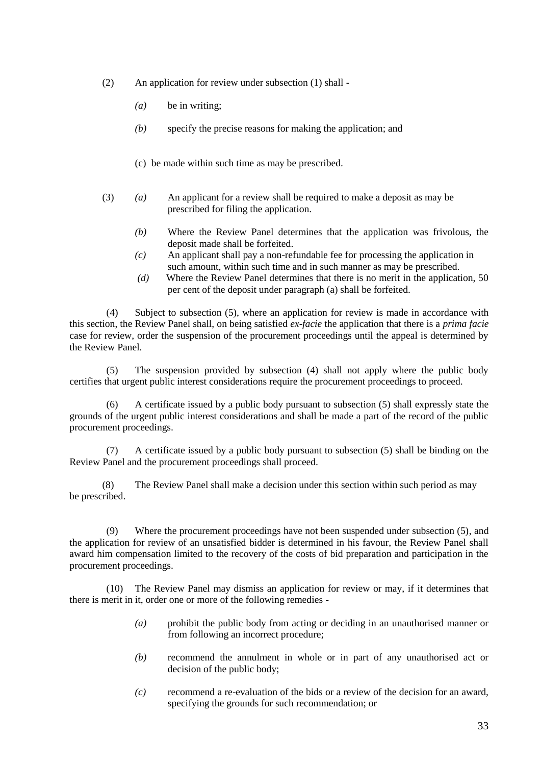- (2) An application for review under subsection (1) shall
	- *(a)* be in writing;
	- *(b)* specify the precise reasons for making the application; and
	- (c) be made within such time as may be prescribed.
- (3) *(a)* An applicant for a review shall be required to make a deposit as may be prescribed for filing the application.
	- *(b)* Where the Review Panel determines that the application was frivolous, the deposit made shall be forfeited.
	- *(c)* An applicant shall pay a non-refundable fee for processing the application in such amount, within such time and in such manner as may be prescribed.
	- *(d)* Where the Review Panel determines that there is no merit in the application, 50 per cent of the deposit under paragraph (a) shall be forfeited.

(4) Subject to subsection (5), where an application for review is made in accordance with this section, the Review Panel shall, on being satisfied *ex-facie* the application that there is a *prima facie* case for review, order the suspension of the procurement proceedings until the appeal is determined by the Review Panel.

(5) The suspension provided by subsection (4) shall not apply where the public body certifies that urgent public interest considerations require the procurement proceedings to proceed.

(6) A certificate issued by a public body pursuant to subsection (5) shall expressly state the grounds of the urgent public interest considerations and shall be made a part of the record of the public procurement proceedings.

(7) A certificate issued by a public body pursuant to subsection (5) shall be binding on the Review Panel and the procurement proceedings shall proceed.

(8) The Review Panel shall make a decision under this section within such period as may be prescribed.

(9) Where the procurement proceedings have not been suspended under subsection (5), and the application for review of an unsatisfied bidder is determined in his favour, the Review Panel shall award him compensation limited to the recovery of the costs of bid preparation and participation in the procurement proceedings.

(10) The Review Panel may dismiss an application for review or may, if it determines that there is merit in it, order one or more of the following remedies -

- *(a)* prohibit the public body from acting or deciding in an unauthorised manner or from following an incorrect procedure;
- *(b)* recommend the annulment in whole or in part of any unauthorised act or decision of the public body;
- *(c)* recommend a re-evaluation of the bids or a review of the decision for an award, specifying the grounds for such recommendation; or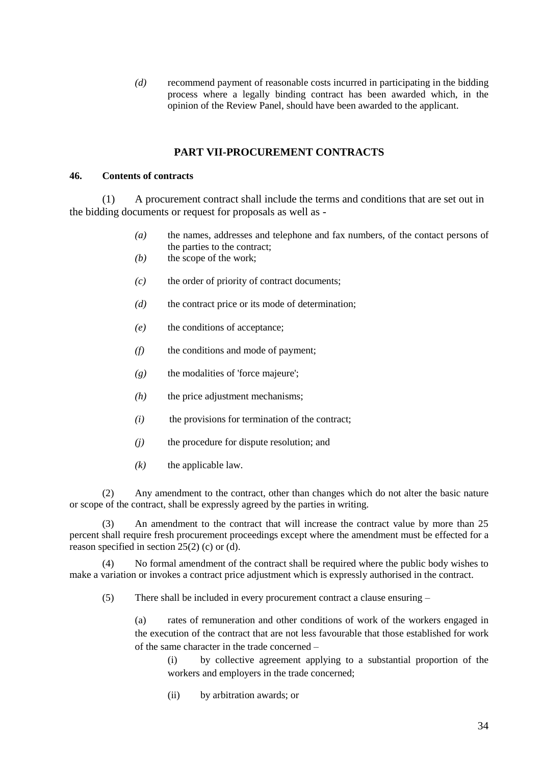*(d)* recommend payment of reasonable costs incurred in participating in the bidding process where a legally binding contract has been awarded which, in the opinion of the Review Panel, should have been awarded to the applicant.

## **PART VII-PROCUREMENT CONTRACTS**

#### **46. Contents of contracts**

(1) A procurement contract shall include the terms and conditions that are set out in the bidding documents or request for proposals as well as -

- *(a)* the names, addresses and telephone and fax numbers, of the contact persons of the parties to the contract;
- *(b)* the scope of the work;
- *(c)* the order of priority of contract documents;
- *(d)* the contract price or its mode of determination;
- *(e)* the conditions of acceptance;
- *(f)* the conditions and mode of payment;
- *(g)* the modalities of 'force majeure';
- *(h)* the price adjustment mechanisms;
- *(i)* the provisions for termination of the contract;
- *(j)* the procedure for dispute resolution; and
- $(k)$  the applicable law.

(2) Any amendment to the contract, other than changes which do not alter the basic nature or scope of the contract, shall be expressly agreed by the parties in writing.

(3) An amendment to the contract that will increase the contract value by more than 25 percent shall require fresh procurement proceedings except where the amendment must be effected for a reason specified in section 25(2) (c) or (d).

(4) No formal amendment of the contract shall be required where the public body wishes to make a variation or invokes a contract price adjustment which is expressly authorised in the contract.

(5) There shall be included in every procurement contract a clause ensuring –

(a) rates of remuneration and other conditions of work of the workers engaged in the execution of the contract that are not less favourable that those established for work of the same character in the trade concerned –

(i) by collective agreement applying to a substantial proportion of the workers and employers in the trade concerned;

(ii) by arbitration awards; or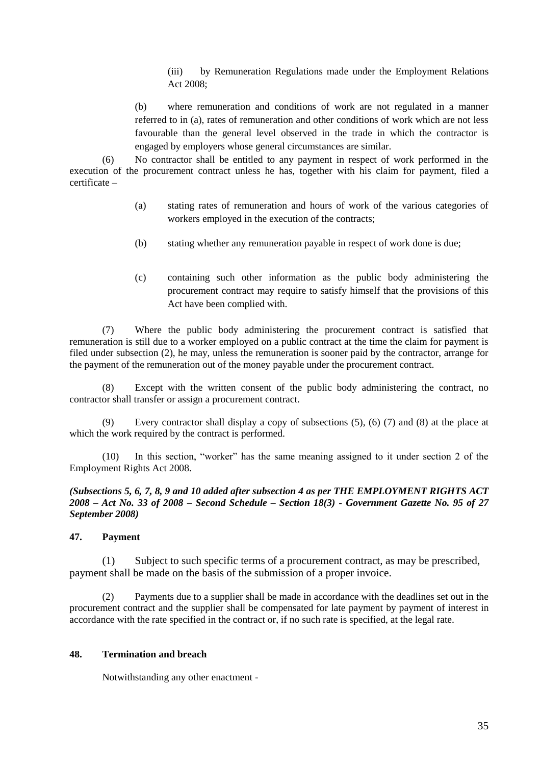(iii) by Remuneration Regulations made under the Employment Relations Act 2008;

(b) where remuneration and conditions of work are not regulated in a manner referred to in (a), rates of remuneration and other conditions of work which are not less favourable than the general level observed in the trade in which the contractor is engaged by employers whose general circumstances are similar.

(6) No contractor shall be entitled to any payment in respect of work performed in the execution of the procurement contract unless he has, together with his claim for payment, filed a certificate –

- (a) stating rates of remuneration and hours of work of the various categories of workers employed in the execution of the contracts;
- (b) stating whether any remuneration payable in respect of work done is due;
- (c) containing such other information as the public body administering the procurement contract may require to satisfy himself that the provisions of this Act have been complied with.

(7) Where the public body administering the procurement contract is satisfied that remuneration is still due to a worker employed on a public contract at the time the claim for payment is filed under subsection (2), he may, unless the remuneration is sooner paid by the contractor, arrange for the payment of the remuneration out of the money payable under the procurement contract.

(8) Except with the written consent of the public body administering the contract, no contractor shall transfer or assign a procurement contract.

(9) Every contractor shall display a copy of subsections (5), (6) (7) and (8) at the place at which the work required by the contract is performed.

(10) In this section, "worker" has the same meaning assigned to it under section 2 of the Employment Rights Act 2008.

*(Subsections 5, 6, 7, 8, 9 and 10 added after subsection 4 as per THE EMPLOYMENT RIGHTS ACT 2008 – Act No. 33 of 2008 – Second Schedule – Section 18(3) - Government Gazette No. 95 of 27 September 2008)*

#### **47. Payment**

(1) Subject to such specific terms of a procurement contract, as may be prescribed, payment shall be made on the basis of the submission of a proper invoice.

(2) Payments due to a supplier shall be made in accordance with the deadlines set out in the procurement contract and the supplier shall be compensated for late payment by payment of interest in accordance with the rate specified in the contract or, if no such rate is specified, at the legal rate.

#### **48. Termination and breach**

Notwithstanding any other enactment -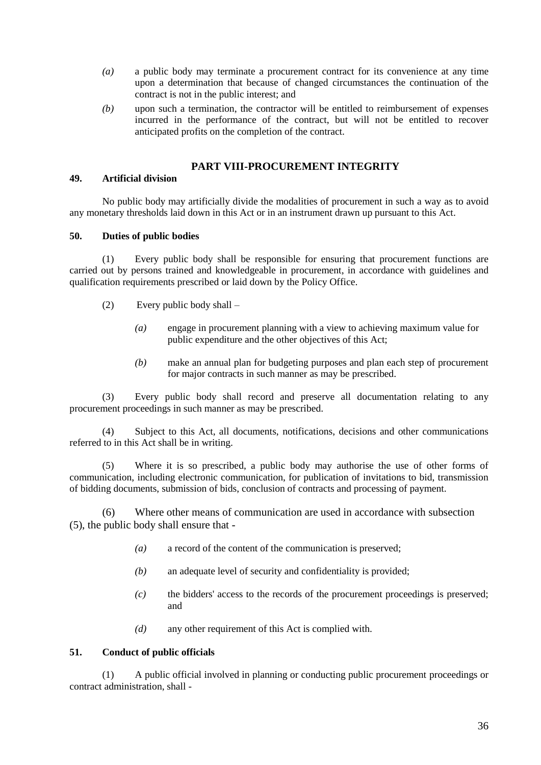- *(a)* a public body may terminate a procurement contract for its convenience at any time upon a determination that because of changed circumstances the continuation of the contract is not in the public interest; and
- *(b)* upon such a termination, the contractor will be entitled to reimbursement of expenses incurred in the performance of the contract, but will not be entitled to recover anticipated profits on the completion of the contract.

## **PART VIII-PROCUREMENT INTEGRITY**

## **49. Artificial division**

No public body may artificially divide the modalities of procurement in such a way as to avoid any monetary thresholds laid down in this Act or in an instrument drawn up pursuant to this Act.

## **50. Duties of public bodies**

(1) Every public body shall be responsible for ensuring that procurement functions are carried out by persons trained and knowledgeable in procurement, in accordance with guidelines and qualification requirements prescribed or laid down by the Policy Office.

- (2) Every public body shall
	- *(a)* engage in procurement planning with a view to achieving maximum value for public expenditure and the other objectives of this Act;
	- *(b)* make an annual plan for budgeting purposes and plan each step of procurement for major contracts in such manner as may be prescribed.

(3) Every public body shall record and preserve all documentation relating to any procurement proceedings in such manner as may be prescribed.

(4) Subject to this Act, all documents, notifications, decisions and other communications referred to in this Act shall be in writing.

(5) Where it is so prescribed, a public body may authorise the use of other forms of communication, including electronic communication, for publication of invitations to bid, transmission of bidding documents, submission of bids, conclusion of contracts and processing of payment.

(6) Where other means of communication are used in accordance with subsection (5), the public body shall ensure that -

- *(a)* a record of the content of the communication is preserved;
- *(b)* an adequate level of security and confidentiality is provided;
- *(c)* the bidders' access to the records of the procurement proceedings is preserved; and
- *(d)* any other requirement of this Act is complied with.

## **51. Conduct of public officials**

(1) A public official involved in planning or conducting public procurement proceedings or contract administration, shall -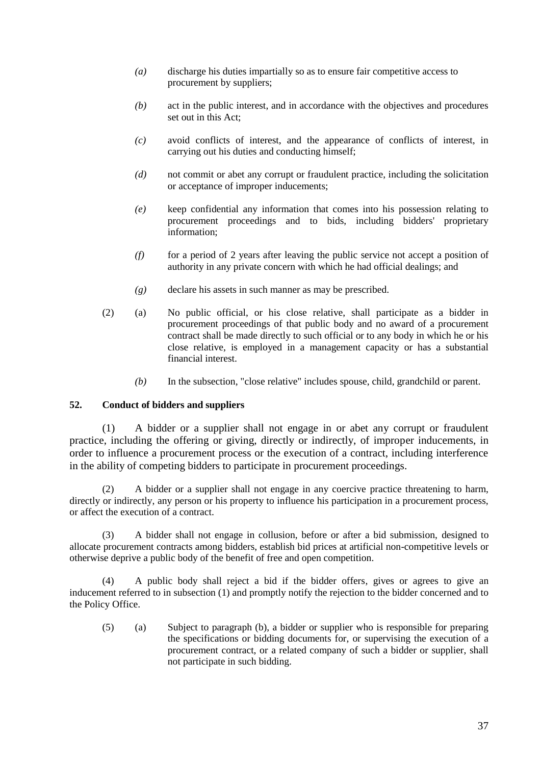- *(a)* discharge his duties impartially so as to ensure fair competitive access to procurement by suppliers;
- *(b)* act in the public interest, and in accordance with the objectives and procedures set out in this Act;
- *(c)* avoid conflicts of interest, and the appearance of conflicts of interest, in carrying out his duties and conducting himself;
- *(d)* not commit or abet any corrupt or fraudulent practice, including the solicitation or acceptance of improper inducements;
- *(e)* keep confidential any information that comes into his possession relating to procurement proceedings and to bids, including bidders' proprietary information;
- *(f)* for a period of 2 years after leaving the public service not accept a position of authority in any private concern with which he had official dealings; and
- *(g)* declare his assets in such manner as may be prescribed.
- (2) (a) No public official, or his close relative, shall participate as a bidder in procurement proceedings of that public body and no award of a procurement contract shall be made directly to such official or to any body in which he or his close relative, is employed in a management capacity or has a substantial financial interest.
	- *(b)* In the subsection, "close relative" includes spouse, child, grandchild or parent.

## **52. Conduct of bidders and suppliers**

(1) A bidder or a supplier shall not engage in or abet any corrupt or fraudulent practice, including the offering or giving, directly or indirectly, of improper inducements, in order to influence a procurement process or the execution of a contract, including interference in the ability of competing bidders to participate in procurement proceedings.

(2) A bidder or a supplier shall not engage in any coercive practice threatening to harm, directly or indirectly, any person or his property to influence his participation in a procurement process, or affect the execution of a contract.

(3) A bidder shall not engage in collusion, before or after a bid submission, designed to allocate procurement contracts among bidders, establish bid prices at artificial non-competitive levels or otherwise deprive a public body of the benefit of free and open competition.

(4) A public body shall reject a bid if the bidder offers, gives or agrees to give an inducement referred to in subsection (1) and promptly notify the rejection to the bidder concerned and to the Policy Office.

(5) (a) Subject to paragraph (b), a bidder or supplier who is responsible for preparing the specifications or bidding documents for, or supervising the execution of a procurement contract, or a related company of such a bidder or supplier, shall not participate in such bidding.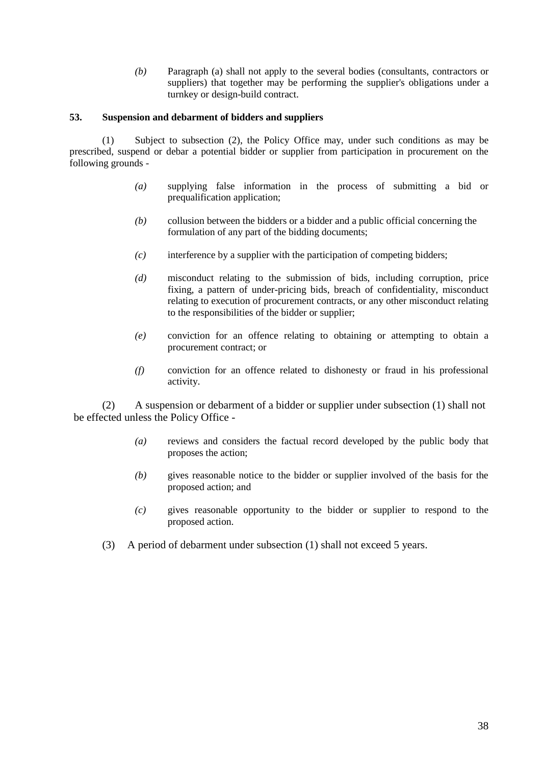*(b)* Paragraph (a) shall not apply to the several bodies (consultants, contractors or suppliers) that together may be performing the supplier's obligations under a turnkey or design-build contract.

#### **53. Suspension and debarment of bidders and suppliers**

(1) Subject to subsection (2), the Policy Office may, under such conditions as may be prescribed, suspend or debar a potential bidder or supplier from participation in procurement on the following grounds -

- *(a)* supplying false information in the process of submitting a bid or prequalification application;
- *(b)* collusion between the bidders or a bidder and a public official concerning the formulation of any part of the bidding documents;
- *(c)* interference by a supplier with the participation of competing bidders;
- *(d)* misconduct relating to the submission of bids, including corruption, price fixing, a pattern of under-pricing bids, breach of confidentiality, misconduct relating to execution of procurement contracts, or any other misconduct relating to the responsibilities of the bidder or supplier;
- *(e)* conviction for an offence relating to obtaining or attempting to obtain a procurement contract; or
- *(f)* conviction for an offence related to dishonesty or fraud in his professional activity.

(2) A suspension or debarment of a bidder or supplier under subsection (1) shall not be effected unless the Policy Office -

- *(a)* reviews and considers the factual record developed by the public body that proposes the action;
- *(b)* gives reasonable notice to the bidder or supplier involved of the basis for the proposed action; and
- *(c)* gives reasonable opportunity to the bidder or supplier to respond to the proposed action.
- (3) A period of debarment under subsection (1) shall not exceed 5 years.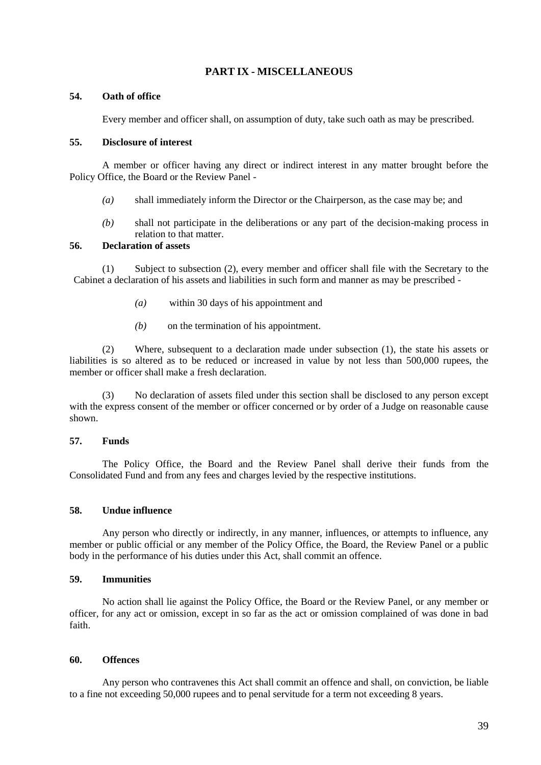## **PART IX - MISCELLANEOUS**

#### **54. Oath of office**

Every member and officer shall, on assumption of duty, take such oath as may be prescribed.

#### **55. Disclosure of interest**

A member or officer having any direct or indirect interest in any matter brought before the Policy Office, the Board or the Review Panel -

- *(a)* shall immediately inform the Director or the Chairperson, as the case may be; and
- *(b)* shall not participate in the deliberations or any part of the decision-making process in relation to that matter.

#### **56. Declaration of assets**

(1) Subject to subsection (2), every member and officer shall file with the Secretary to the Cabinet a declaration of his assets and liabilities in such form and manner as may be prescribed -

- *(a)* within 30 days of his appointment and
- *(b)* on the termination of his appointment.

(2) Where, subsequent to a declaration made under subsection (1), the state his assets or liabilities is so altered as to be reduced or increased in value by not less than 500,000 rupees, the member or officer shall make a fresh declaration.

(3) No declaration of assets filed under this section shall be disclosed to any person except with the express consent of the member or officer concerned or by order of a Judge on reasonable cause shown.

#### **57. Funds**

The Policy Office, the Board and the Review Panel shall derive their funds from the Consolidated Fund and from any fees and charges levied by the respective institutions.

#### **58. Undue influence**

Any person who directly or indirectly, in any manner, influences, or attempts to influence, any member or public official or any member of the Policy Office, the Board, the Review Panel or a public body in the performance of his duties under this Act, shall commit an offence.

#### **59. Immunities**

No action shall lie against the Policy Office, the Board or the Review Panel, or any member or officer, for any act or omission, except in so far as the act or omission complained of was done in bad faith.

#### **60. Offences**

Any person who contravenes this Act shall commit an offence and shall, on conviction, be liable to a fine not exceeding 50,000 rupees and to penal servitude for a term not exceeding 8 years.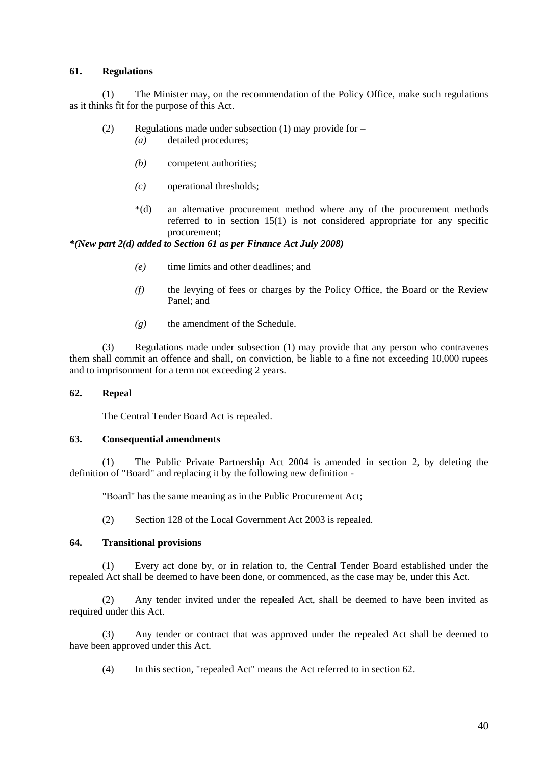#### **61. Regulations**

(1) The Minister may, on the recommendation of the Policy Office, make such regulations as it thinks fit for the purpose of this Act.

- (2) Regulations made under subsection (1) may provide for
	- *(a)* detailed procedures;
	- *(b)* competent authorities;
	- *(c)* operational thresholds;
	- \*(d) an alternative procurement method where any of the procurement methods referred to in section 15(1) is not considered appropriate for any specific procurement;

*\*(New part 2(d) added to Section 61 as per Finance Act July 2008)*

- *(e)* time limits and other deadlines; and
- *(f)* the levying of fees or charges by the Policy Office, the Board or the Review Panel; and
- *(g)* the amendment of the Schedule.

(3) Regulations made under subsection (1) may provide that any person who contravenes them shall commit an offence and shall, on conviction, be liable to a fine not exceeding 10,000 rupees and to imprisonment for a term not exceeding 2 years.

#### **62. Repeal**

The Central Tender Board Act is repealed.

#### **63. Consequential amendments**

(1) The Public Private Partnership Act 2004 is amended in section 2, by deleting the definition of "Board" and replacing it by the following new definition -

"Board" has the same meaning as in the Public Procurement Act;

(2) Section 128 of the Local Government Act 2003 is repealed.

#### **64. Transitional provisions**

(1) Every act done by, or in relation to, the Central Tender Board established under the repealed Act shall be deemed to have been done, or commenced, as the case may be, under this Act.

(2) Any tender invited under the repealed Act, shall be deemed to have been invited as required under this Act.

(3) Any tender or contract that was approved under the repealed Act shall be deemed to have been approved under this Act.

(4) In this section, "repealed Act" means the Act referred to in section 62.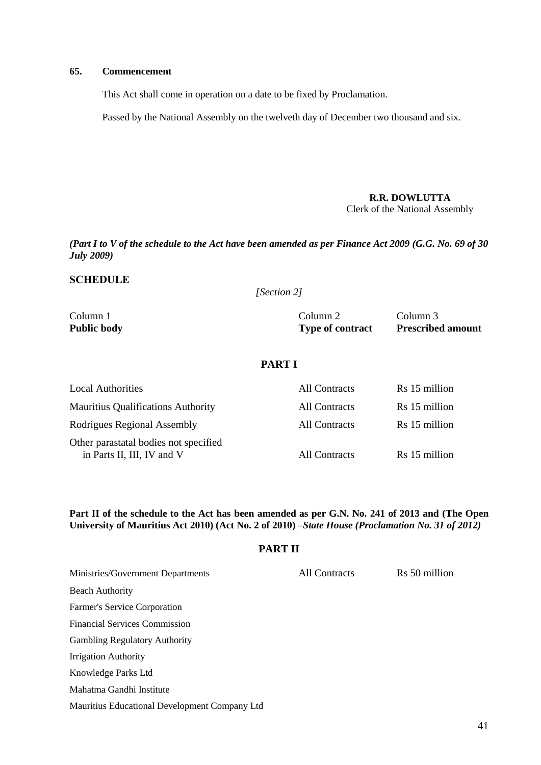#### **65. Commencement**

This Act shall come in operation on a date to be fixed by Proclamation.

Passed by the National Assembly on the twelveth day of December two thousand and six.

**R.R. DOWLUTTA** Clerk of the National Assembly

*(Part I to V of the schedule to the Act have been amended as per Finance Act 2009 (G.G. No. 69 of 30 July 2009)*

## **SCHEDULE**

*[Section 2]*

Column 1 Column 2 Column 3 **Public body Type of contract Prescribed amount**

## **PART I**

| <b>Local Authorities</b>                                            | All Contracts | Rs 15 million |
|---------------------------------------------------------------------|---------------|---------------|
| <b>Mauritius Qualifications Authority</b>                           | All Contracts | Rs 15 million |
| Rodrigues Regional Assembly                                         | All Contracts | Rs 15 million |
| Other parastatal bodies not specified<br>in Parts II, III, IV and V | All Contracts | Rs 15 million |

**Part II of the schedule to the Act has been amended as per G.N. No. 241 of 2013 and (The Open University of Mauritius Act 2010) (Act No. 2 of 2010)** *–State House (Proclamation No. 31 of 2012)*

#### **PART II**

| Ministries/Government Departments             | All Contracts | Rs 50 million |
|-----------------------------------------------|---------------|---------------|
| <b>Beach Authority</b>                        |               |               |
| Farmer's Service Corporation                  |               |               |
| <b>Financial Services Commission</b>          |               |               |
| <b>Gambling Regulatory Authority</b>          |               |               |
| <b>Irrigation Authority</b>                   |               |               |
| Knowledge Parks Ltd                           |               |               |
| Mahatma Gandhi Institute                      |               |               |
| Mauritius Educational Development Company Ltd |               |               |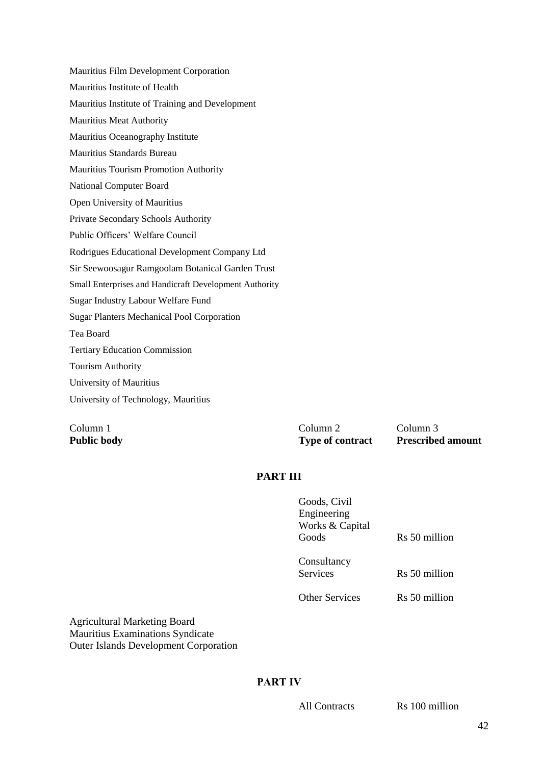Mauritius Film Development Corporation Mauritius Institute of Health Mauritius Institute of Training and Development Mauritius Meat Authority Mauritius Oceanography Institute Mauritius Standards Bureau Mauritius Tourism Promotion Authority National Computer Board Open University of Mauritius Private Secondary Schools Authority Public Officers' Welfare Council Rodrigues Educational Development Company Ltd Sir Seewoosagur Ramgoolam Botanical Garden Trust Small Enterprises and Handicraft Development Authority Sugar Industry Labour Welfare Fund Sugar Planters Mechanical Pool Corporation Tea Board Tertiary Education Commission Tourism Authority University of Mauritius University of Technology, Mauritius

Column 1 Column 2 Column 3 Public body **Public body** Type of contract **Prescribed amount** 

## **PART III**

| Goods, Civil          |               |
|-----------------------|---------------|
| Engineering           |               |
| Works & Capital       |               |
| Goods                 | Rs 50 million |
|                       |               |
| Consultancy           |               |
| <b>Services</b>       | Rs 50 million |
|                       |               |
| <b>Other Services</b> | Rs 50 million |

Agricultural Marketing Board Mauritius Examinations Syndicate Outer Islands Development Corporation

## **PART IV**

All Contracts Rs 100 million